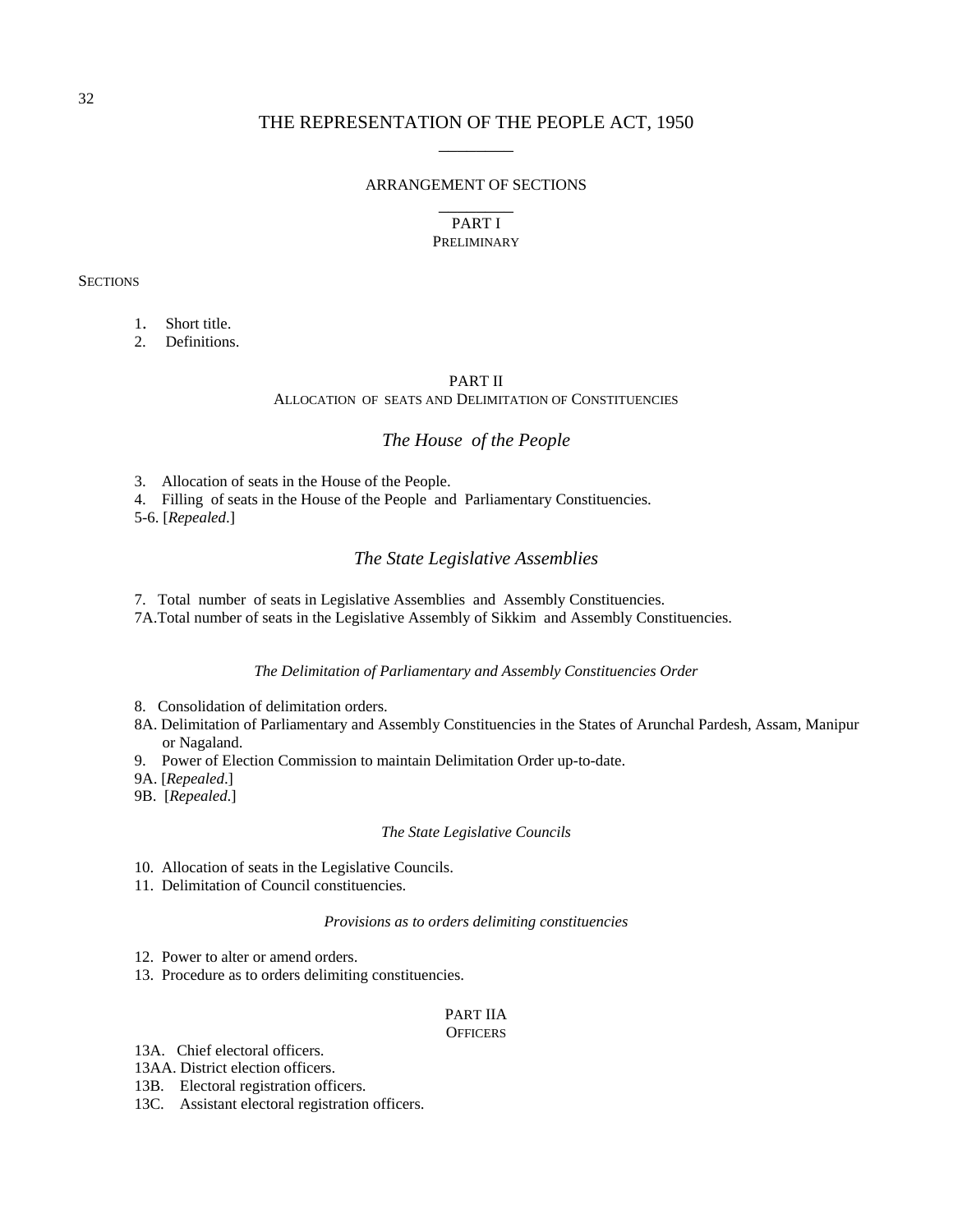#### ARRANGEMENT OF SECTIONS

# $\overline{\phantom{a}}$   $\overline{\phantom{a}}$ PART I **PRELIMINARY**

**SECTIONS** 

1. Short title.

2. Definitions.

#### PART II

ALLOCATION OF SEATS AND DELIMITATION OF CONSTITUENCIES

# *The House of the People*

3. Allocation of seats in the House of the People.

4. Filling of seats in the House of the People and Parliamentary Constituencies.

5-6. [*Repealed*.]

# *The State Legislative Assemblies*

7. Total number of seats in Legislative Assemblies and Assembly Constituencies.

7A.Total number of seats in the Legislative Assembly of Sikkim and Assembly Constituencies.

### *The Delimitation of Parliamentary and Assembly Constituencies Order*

- 8. Consolidation of delimitation orders.
- 8A. Delimitation of Parliamentary and Assembly Constituencies in the States of Arunchal Pardesh, Assam, Manipur or Nagaland.
- 9. Power of Election Commission to maintain Delimitation Order up-to-date.
- 9A. [*Repealed*.]
- 9B. [*Repealed*.]

#### *The State Legislative Councils*

- 10. Allocation of seats in the Legislative Councils.
- 11. Delimitation of Council constituencies.

#### *Provisions as to orders delimiting constituencies*

12. Power to alter or amend orders.

13. Procedure as to orders delimiting constituencies.

#### PART IIA

#### **OFFICERS**

13A. Chief electoral officers.

13AA. District election officers.

- 13B. Electoral registration officers.
- 13C. Assistant electoral registration officers.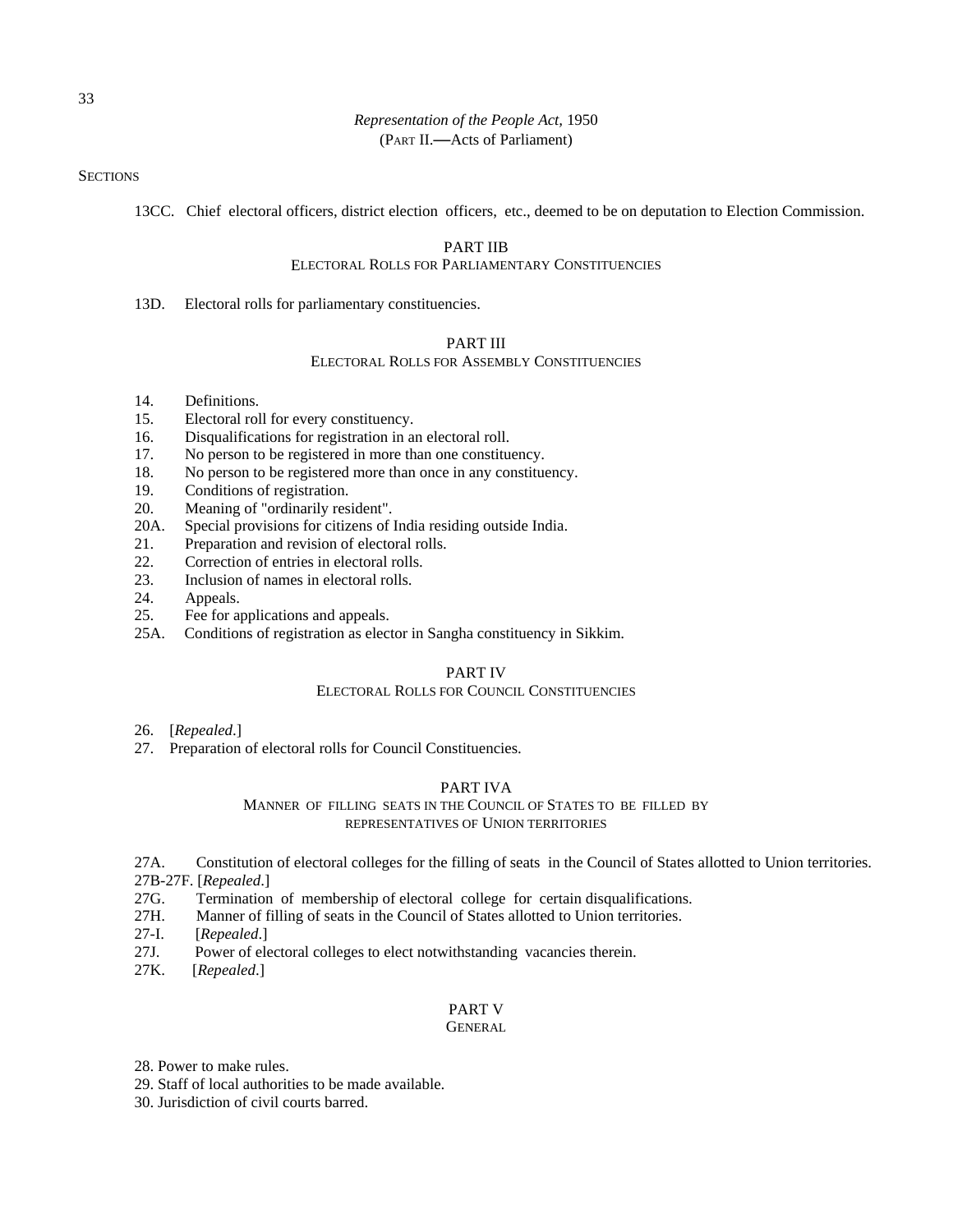**SECTIONS** 

13CC. Chief electoral officers, district election officers, etc., deemed to be on deputation to Election Commission.

# PART IIB

# ELECTORAL ROLLS FOR PARLIAMENTARY CONSTITUENCIES

13D. Electoral rolls for parliamentary constituencies.

#### PART III

#### ELECTORAL ROLLS FOR ASSEMBLY CONSTITUENCIES

- 14. Definitions.
- 15. Electoral roll for every constituency.
- 16. Disqualifications for registration in an electoral roll.
- 17. No person to be registered in more than one constituency.
- 18. No person to be registered more than once in any constituency.
- 19. Conditions of registration.
- 20. Meaning of "ordinarily resident".
- 20A. Special provisions for citizens of India residing outside India.
- 21. Preparation and revision of electoral rolls.
- 22. Correction of entries in electoral rolls.
- 23. Inclusion of names in electoral rolls.
- 24. Appeals.
- 25. Fee for applications and appeals.
- 25A. Conditions of registration as elector in Sangha constituency in Sikkim.

#### PART IV

### ELECTORAL ROLLS FOR COUNCIL CONSTITUENCIES

- 26. [*Repealed*.]
- 27. Preparation of electoral rolls for Council Constituencies.

#### PART IVA

#### MANNER OF FILLING SEATS IN THE COUNCIL OF STATES TO BE FILLED BY REPRESENTATIVES OF UNION TERRITORIES

27A. Constitution of electoral colleges for the filling of seats in the Council of States allotted to Union territories. 27B-27F. [*Repealed*.]

- 27G. Termination of membership of electoral college for certain disqualifications.
- 27H. Manner of filling of seats in the Council of States allotted to Union territories.
- 27-I. [*Repealed*.]
- 27J. Power of electoral colleges to elect notwithstanding vacancies therein.
- 27K. [*Repealed*.]

# PART V

#### **GENERAL**

- 28. Power to make rules.
- 29. Staff of local authorities to be made available.
- 30. Jurisdiction of civil courts barred.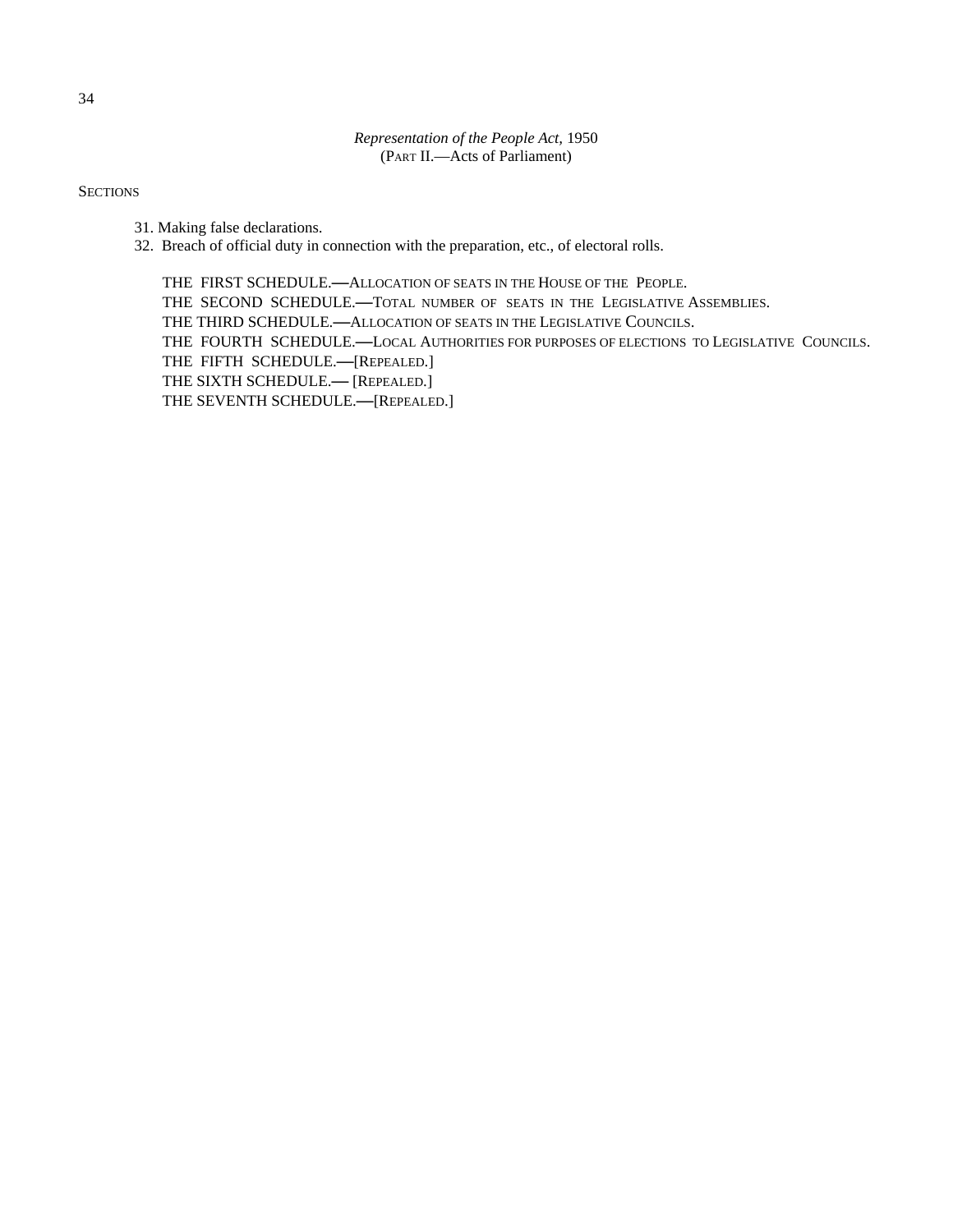**SECTIONS** 

- 31. Making false declarations.
- 32. Breach of official duty in connection with the preparation, etc., of electoral rolls.

THE FIRST SCHEDULE.**—**ALLOCATION OF SEATS IN THE HOUSE OF THE PEOPLE. THE SECOND SCHEDULE.**—**TOTAL NUMBER OF SEATS IN THE LEGISLATIVE ASSEMBLIES. THE THIRD SCHEDULE.**—**ALLOCATION OF SEATS IN THE LEGISLATIVE COUNCILS. THE FOURTH SCHEDULE.**—**LOCAL AUTHORITIES FOR PURPOSES OF ELECTIONS TO LEGISLATIVE COUNCILS. THE FIFTH SCHEDULE.**—**[REPEALED.] THE SIXTH SCHEDULE.**—** [REPEALED.] THE SEVENTH SCHEDULE.**—**[REPEALED.]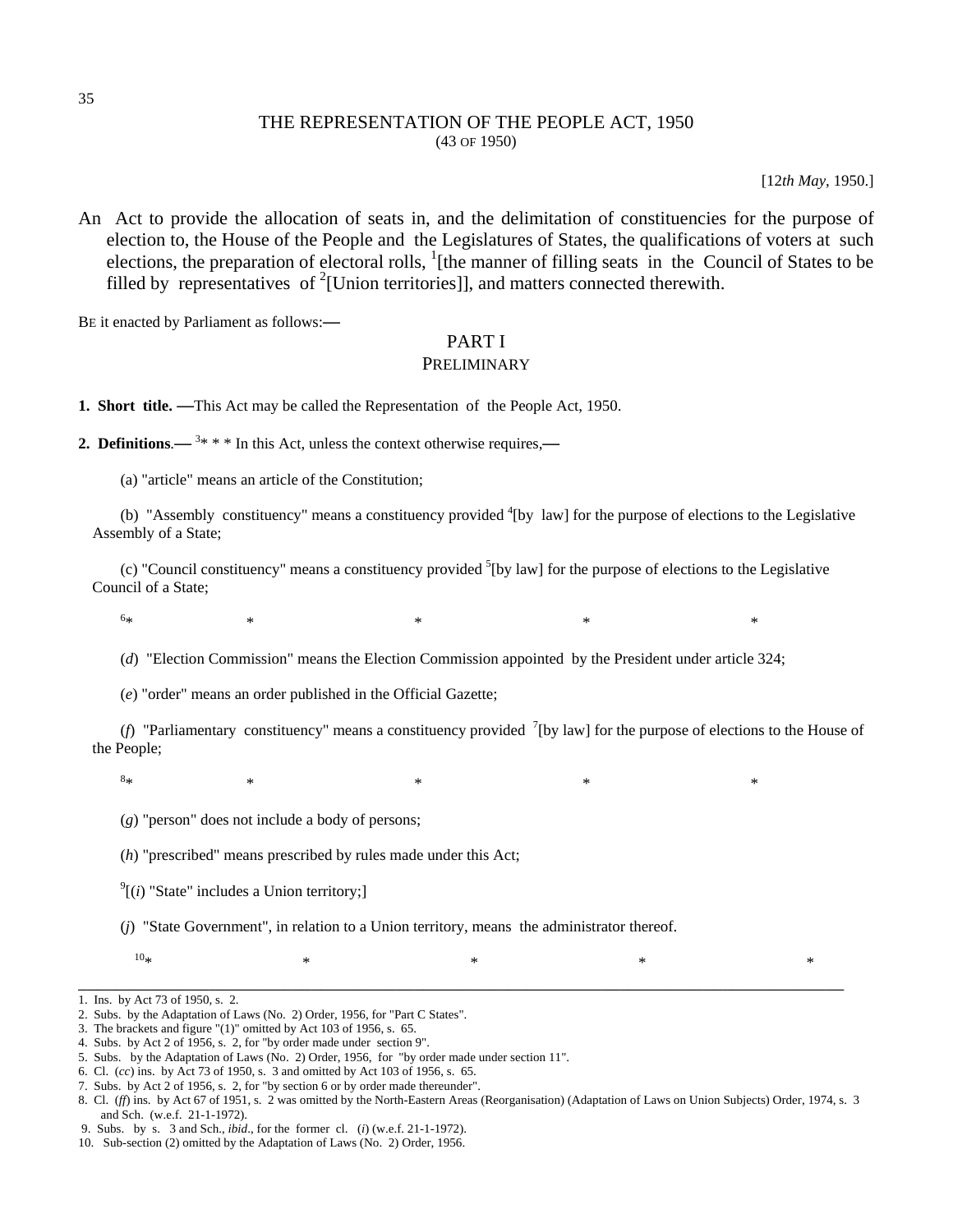# THE REPRESENTATION OF THE PEOPLE ACT, 1950 (43 OF 1950)

[12*th May*, 1950.]

An Act to provide the allocation of seats in, and the delimitation of constituencies for the purpose of election to, the House of the People and the Legislatures of States, the qualifications of voters at such elections, the preparation of electoral rolls,  $\frac{1}{1}$  [the manner of filling seats in the Council of States to be filled by representatives of <sup>2</sup>[Union territories]], and matters connected therewith.

BE it enacted by Parliament as follows:**—**

# PART I

# PRELIMINARY

**1. Short title. —**This Act may be called the Representation of the People Act, 1950.

**2. Definitions.**  $\rightarrow$  <sup>3\*</sup> \* \* In this Act, unless the context otherwise requires,

(a) "article" means an article of the Constitution;

(b) "Assembly constituency" means a constituency provided  ${}^{4}$ [by law] for the purpose of elections to the Legislative Assembly of a State;

(c) "Council constituency" means a constituency provided  ${}^{5}$ [by law] for the purpose of elections to the Legislative Council of a State;

 $6<sub>*</sub>$ 

 $*$   $*$   $*$   $*$   $*$   $*$   $*$   $*$   $*$ 

(*d*) "Election Commission" means the Election Commission appointed by the President under article 324;

(*e*) "order" means an order published in the Official Gazette;

(*f*) "Parliamentary constituency" means a constituency provided  $\binom{7}{1}$  [by law] for the purpose of elections to the House of the People;

 $8\,$  $*$   $*$   $*$   $*$   $*$   $*$   $*$   $*$   $*$ 

(*g*) "person" does not include a body of persons;

(*h*) "prescribed" means prescribed by rules made under this Act;

 $\int$ <sup>9</sup>[(*i*) "State" includes a Union territory;]

(*j*) "State Government", in relation to a Union territory, means the administrator thereof.

 $10*$  \* \* \* \* \* \* \*

\_\_\_\_\_\_\_\_\_\_\_\_\_\_\_\_\_\_\_\_\_\_\_\_\_\_\_\_\_\_\_\_\_\_\_\_\_\_\_\_\_\_\_\_\_\_\_\_\_\_\_\_\_\_\_\_\_\_\_\_\_\_\_\_\_\_\_\_\_\_\_\_\_\_\_\_\_\_\_\_\_\_

1. Ins. by Act 73 of 1950, s. 2.

<sup>2.</sup> Subs. by the Adaptation of Laws (No. 2) Order, 1956, for "Part C States".

<sup>3.</sup> The brackets and figure "(1)" omitted by Act 103 of 1956, s. 65.

<sup>4.</sup> Subs. by Act 2 of 1956, s. 2, for "by order made under section 9".

<sup>5.</sup> Subs. by the Adaptation of Laws (No. 2) Order, 1956, for "by order made under section 11".

<sup>6.</sup> Cl. (*cc*) ins. by Act 73 of 1950, s. 3 and omitted by Act 103 of 1956, s. 65.

<sup>7.</sup> Subs. by Act 2 of 1956, s. 2, for "by section 6 or by order made thereunder".

<sup>8.</sup> Cl. (*ff*) ins. by Act 67 of 1951, s. 2 was omitted by the North-Eastern Areas (Reorganisation) (Adaptation of Laws on Union Subjects) Order, 1974, s. 3 and Sch. (w.e.f. 21-1-1972).

 <sup>9.</sup> Subs. by s. 3 and Sch., *ibid*., for the former cl. (*i*) (w.e.f. 21-1-1972).

<sup>10.</sup> Sub-section (2) omitted by the Adaptation of Laws (No. 2) Order, 1956.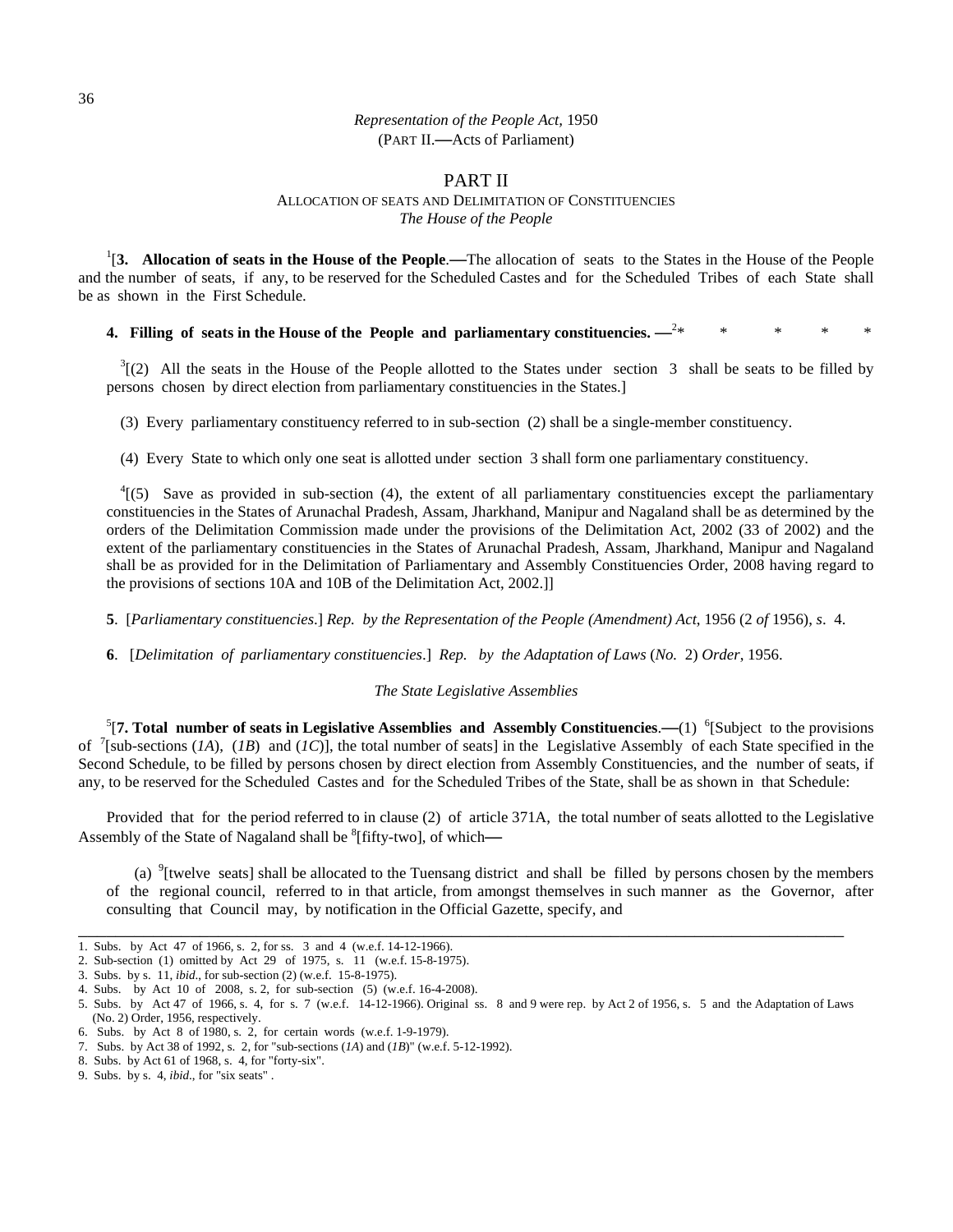# PART II

#### ALLOCATION OF SEATS AND DELIMITATION OF CONSTITUENCIES *The House of the People*

1 [**3. Allocation of seats in the House of the People**.**—**The allocation of seats to the States in the House of the People and the number of seats, if any, to be reserved for the Scheduled Castes and for the Scheduled Tribes of each State shall be as shown in the First Schedule.

#### **4. Filling of seats in the House of the People and parliamentary constituencies. —**<sup>2</sup> \* \* \* \* \*

 $3(2)$  All the seats in the House of the People allotted to the States under section 3 shall be seats to be filled by persons chosen by direct election from parliamentary constituencies in the States.]

(3) Every parliamentary constituency referred to in sub-section (2) shall be a single-member constituency.

(4) Every State to which only one seat is allotted under section 3 shall form one parliamentary constituency.

 $^{4}$ [(5) Save as provided in sub-section (4), the extent of all parliamentary constituencies except the parliamentary constituencies in the States of Arunachal Pradesh, Assam, Jharkhand, Manipur and Nagaland shall be as determined by the orders of the Delimitation Commission made under the provisions of the Delimitation Act, 2002 (33 of 2002) and the extent of the parliamentary constituencies in the States of Arunachal Pradesh, Assam, Jharkhand, Manipur and Nagaland shall be as provided for in the Delimitation of Parliamentary and Assembly Constituencies Order, 2008 having regard to the provisions of sections 10A and 10B of the Delimitation Act, 2002.]]

**5**. [*Parliamentary constituencies*.] *Rep. by the Representation of the People (Amendment) Act*, 1956 (2 *of* 1956), *s*. 4.

**6**. [*Delimitation of parliamentary constituencies*.] *Rep. by the Adaptation of Laws* (*No.* 2) *Order*, 1956.

#### *The State Legislative Assemblies*

 $5$ [7. Total number of seats in Legislative Assemblies and Assembly Constituencies.—(1)  $6$ [Subject to the provisions of  $\frac{7}{2}$ [sub-sections (*IA*), (*IB*) and (*IC*)], the total number of seats] in the Legislative Assembly of each State specified in the Second Schedule, to be filled by persons chosen by direct election from Assembly Constituencies, and the number of seats, if any, to be reserved for the Scheduled Castes and for the Scheduled Tribes of the State, shall be as shown in that Schedule:

Provided that for the period referred to in clause (2) of article 371A, the total number of seats allotted to the Legislative Assembly of the State of Nagaland shall be <sup>8</sup>[fifty-two], of which-

(a) 9[twelve seats] shall be allocated to the Tuensang district and shall be filled by persons chosen by the members of the regional council, referred to in that article, from amongst themselves in such manner as the Governor, after consulting that Council may, by notification in the Official Gazette, specify, and

\_\_\_\_\_\_\_\_\_\_\_\_\_\_\_\_\_\_\_\_\_\_\_\_\_\_\_\_\_\_\_\_\_\_\_\_\_\_\_\_\_\_\_\_\_\_\_\_\_\_\_\_\_\_\_\_\_\_\_\_\_\_\_\_\_\_\_\_\_\_\_\_\_\_\_\_\_\_\_\_\_\_

<sup>1.</sup> Subs. by Act 47 of 1966, s. 2, for ss. 3 and 4 (w.e.f. 14-12-1966).

<sup>2.</sup> Sub-section (1) omitted by Act 29 of 1975, s. 11 (w.e.f. 15-8-1975).

<sup>3.</sup> Subs. by s. 11, *ibid*., for sub-section (2) (w.e.f. 15-8-1975).

<sup>4.</sup> Subs. by Act 10 of 2008, s. 2, for sub-section (5) (w.e.f. 16-4-2008).

<sup>5.</sup> Subs. by Act 47 of 1966, s. 4, for s. 7 (w.e.f. 14-12-1966). Original ss. 8 and 9 were rep. by Act 2 of 1956, s. 5 and the Adaptation of Laws (No. 2) Order, 1956, respectively.

<sup>6.</sup> Subs. by Act 8 of 1980, s. 2, for certain words (w.e.f. 1-9-1979).

<sup>7.</sup> Subs. by Act 38 of 1992, s. 2, for "sub-sections (*1A*) and (*1B*)" (w.e.f. 5-12-1992).

<sup>8.</sup> Subs. by Act 61 of 1968, s. 4, for "forty-six".

<sup>9.</sup> Subs. by s. 4, *ibid*., for "six seats" .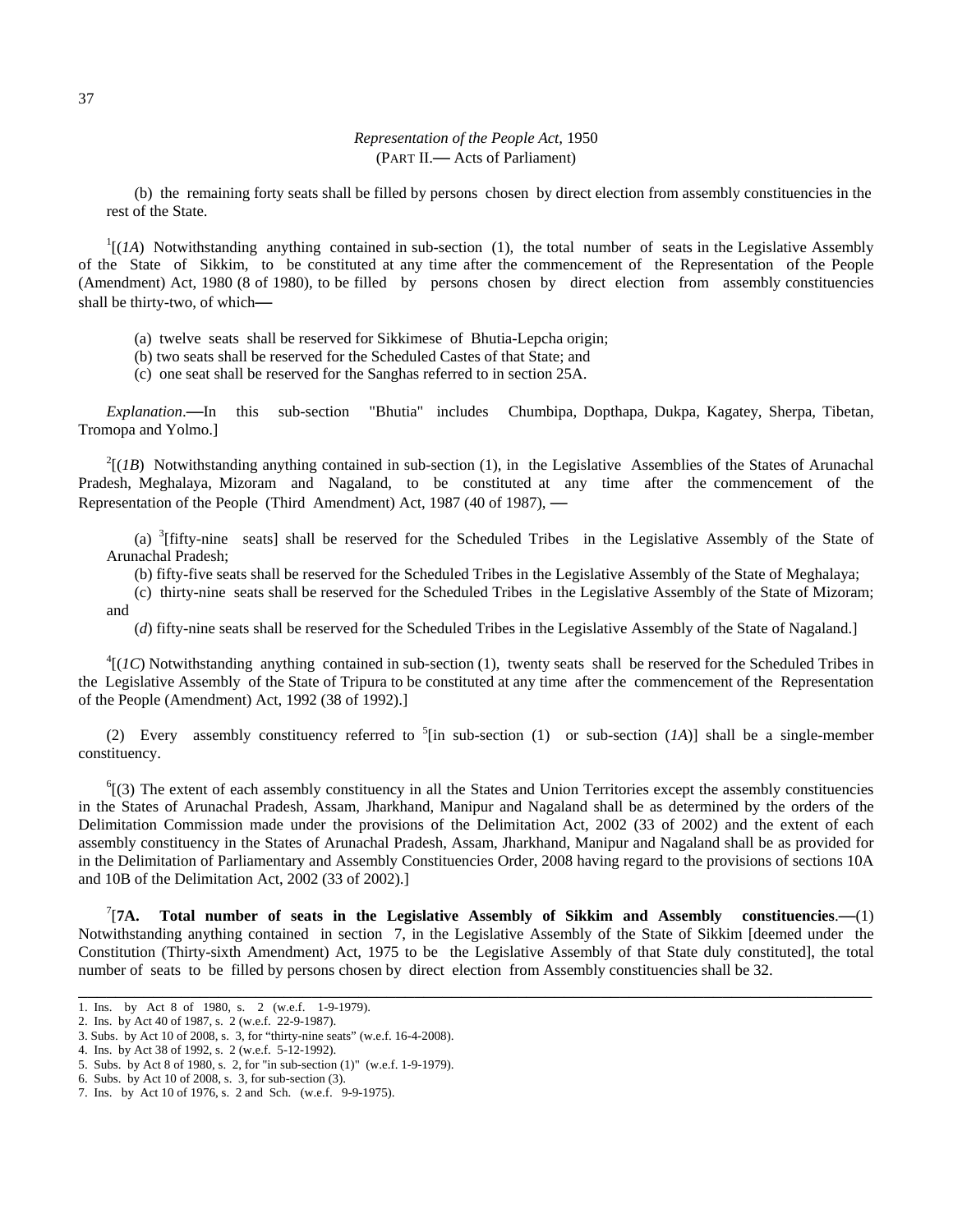(b) the remaining forty seats shall be filled by persons chosen by direct election from assembly constituencies in the rest of the State.

 $<sup>1</sup>[(IA)$  Notwithstanding anything contained in sub-section (1), the total number of seats in the Legislative Assembly</sup> of the State of Sikkim, to be constituted at any time after the commencement of the Representation of the People (Amendment) Act, 1980 (8 of 1980), to be filled by persons chosen by direct election from assembly constituencies shall be thirty-two, of which**—**

- (a) twelve seats shall be reserved for Sikkimese of Bhutia-Lepcha origin;
- (b) two seats shall be reserved for the Scheduled Castes of that State; and
- (c) one seat shall be reserved for the Sanghas referred to in section 25A.

*Explanation*.**—**In this sub-section "Bhutia" includes Chumbipa, Dopthapa, Dukpa, Kagatey, Sherpa, Tibetan, Tromopa and Yolmo.]

 $^{2}$ [(*1B*) Notwithstanding anything contained in sub-section (1), in the Legislative Assemblies of the States of Arunachal Pradesh, Meghalaya, Mizoram and Nagaland, to be constituted at any time after the commencement of the Representation of the People (Third Amendment) Act, 1987 (40 of 1987), **—**

(a)  $3$ [fifty-nine seats] shall be reserved for the Scheduled Tribes in the Legislative Assembly of the State of Arunachal Pradesh;

(b) fifty-five seats shall be reserved for the Scheduled Tribes in the Legislative Assembly of the State of Meghalaya;

(c) thirty-nine seats shall be reserved for the Scheduled Tribes in the Legislative Assembly of the State of Mizoram; and

(*d*) fifty-nine seats shall be reserved for the Scheduled Tribes in the Legislative Assembly of the State of Nagaland.]

 ${}^{4}$ [(*IC*) Notwithstanding anything contained in sub-section (1), twenty seats shall be reserved for the Scheduled Tribes in the Legislative Assembly of the State of Tripura to be constituted at any time after the commencement of the Representation of the People (Amendment) Act, 1992 (38 of 1992).]

(2) Every assembly constituency referred to  ${}^{5}$ [in sub-section (1) or sub-section (*1A*)] shall be a single-member constituency.

 ${}^{6}$ [(3) The extent of each assembly constituency in all the States and Union Territories except the assembly constituencies in the States of Arunachal Pradesh, Assam, Jharkhand, Manipur and Nagaland shall be as determined by the orders of the Delimitation Commission made under the provisions of the Delimitation Act, 2002 (33 of 2002) and the extent of each assembly constituency in the States of Arunachal Pradesh, Assam, Jharkhand, Manipur and Nagaland shall be as provided for in the Delimitation of Parliamentary and Assembly Constituencies Order, 2008 having regard to the provisions of sections 10A and 10B of the Delimitation Act, 2002 (33 of 2002).]

 $T/A$ . [**7A. Total number of seats in the Legislative Assembly of Sikkim and Assembly constituencies**.**—**(1) Notwithstanding anything contained in section 7, in the Legislative Assembly of the State of Sikkim [deemed under the Constitution (Thirty-sixth Amendment) Act, 1975 to be the Legislative Assembly of that State duly constituted], the total number of seats to be filled by persons chosen by direct election from Assembly constituencies shall be 32.

\_\_\_\_\_\_\_\_\_\_\_\_\_\_\_\_\_\_\_\_\_\_\_\_\_\_\_\_\_\_\_\_\_\_\_\_\_\_\_\_\_\_\_\_\_\_\_\_\_\_\_\_\_\_\_\_\_\_\_\_\_\_\_\_\_\_\_\_\_\_\_\_\_\_\_\_\_\_\_\_\_\_\_\_\_

<sup>1.</sup> Ins. by Act 8 of 1980, s. 2 (w.e.f. 1-9-1979).

<sup>2.</sup> Ins. by Act 40 of 1987, s. 2 (w.e.f. 22-9-1987).

<sup>3.</sup> Subs. by Act 10 of 2008, s. 3, for "thirty-nine seats" (w.e.f. 16-4-2008).

<sup>4.</sup> Ins. by Act 38 of 1992, s. 2 (w.e.f. 5-12-1992).

<sup>5.</sup> Subs. by Act 8 of 1980, s. 2, for "in sub-section (1)" (w.e.f. 1-9-1979).

<sup>6.</sup> Subs. by Act 10 of 2008, s. 3, for sub-section (3).

<sup>7.</sup> Ins. by Act 10 of 1976, s. 2 and Sch. (w.e.f. 9-9-1975).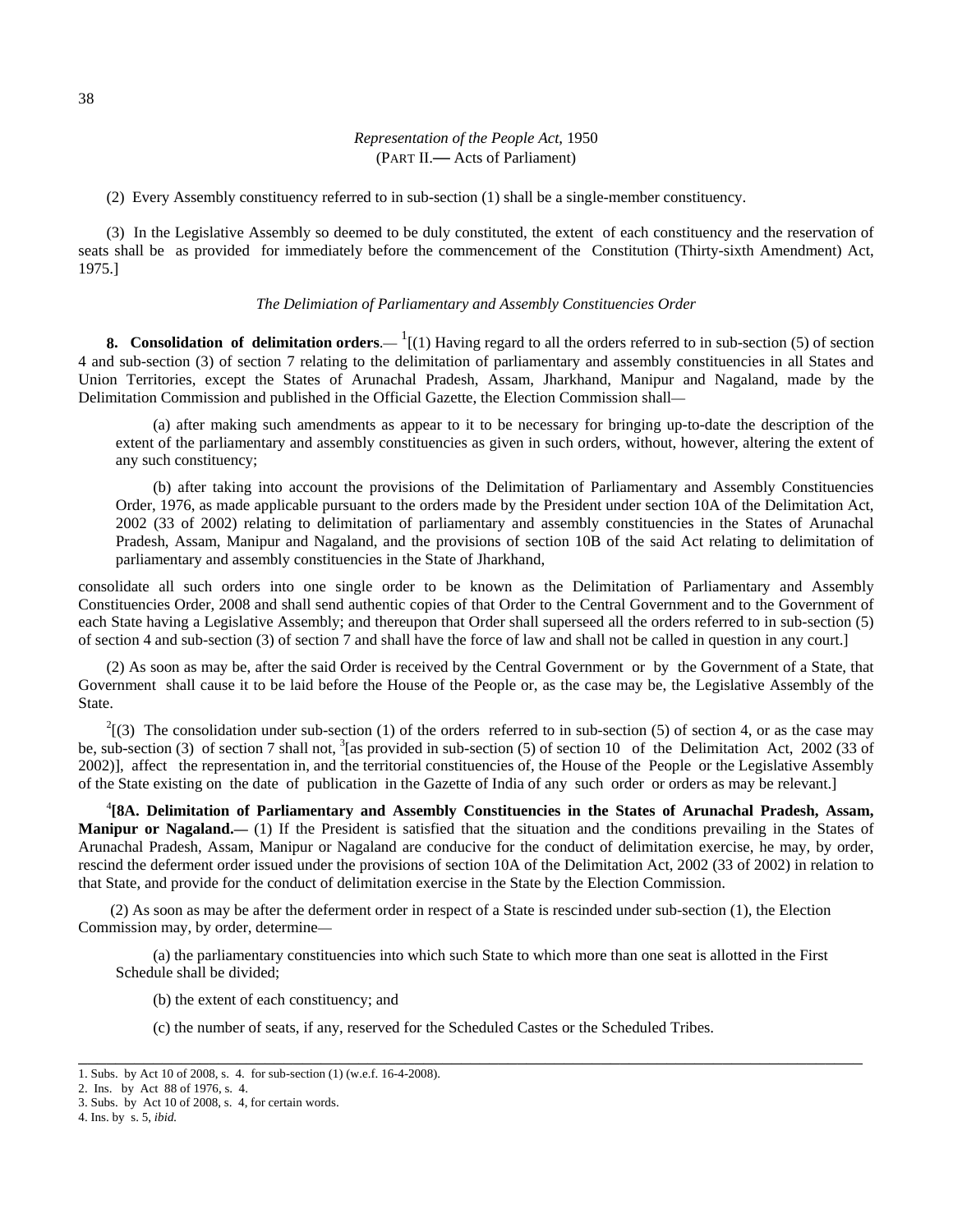(2) Every Assembly constituency referred to in sub-section (1) shall be a single-member constituency.

(3) In the Legislative Assembly so deemed to be duly constituted, the extent of each constituency and the reservation of seats shall be as provided for immediately before the commencement of the Constitution (Thirty-sixth Amendment) Act, 1975.]

#### *The Delimiation of Parliamentary and Assembly Constituencies Order*

**8. Consolidation of delimitation orders**.  $\frac{1}{1}(1)$  Having regard to all the orders referred to in sub-section (5) of section 4 and sub-section (3) of section 7 relating to the delimitation of parliamentary and assembly constituencies in all States and Union Territories, except the States of Arunachal Pradesh, Assam, Jharkhand, Manipur and Nagaland, made by the Delimitation Commission and published in the Official Gazette, the Election Commission shall—

(a) after making such amendments as appear to it to be necessary for bringing up-to-date the description of the extent of the parliamentary and assembly constituencies as given in such orders, without, however, altering the extent of any such constituency;

(b) after taking into account the provisions of the Delimitation of Parliamentary and Assembly Constituencies Order, 1976, as made applicable pursuant to the orders made by the President under section 10A of the Delimitation Act, 2002 (33 of 2002) relating to delimitation of parliamentary and assembly constituencies in the States of Arunachal Pradesh, Assam, Manipur and Nagaland, and the provisions of section 10B of the said Act relating to delimitation of parliamentary and assembly constituencies in the State of Jharkhand,

consolidate all such orders into one single order to be known as the Delimitation of Parliamentary and Assembly Constituencies Order, 2008 and shall send authentic copies of that Order to the Central Government and to the Government of each State having a Legislative Assembly; and thereupon that Order shall superseed all the orders referred to in sub-section (5) of section 4 and sub-section (3) of section 7 and shall have the force of law and shall not be called in question in any court.]

(2) As soon as may be, after the said Order is received by the Central Government or by the Government of a State, that Government shall cause it to be laid before the House of the People or, as the case may be, the Legislative Assembly of the State.

 $2^2$ [(3) The consolidation under sub-section (1) of the orders referred to in sub-section (5) of section 4, or as the case may be, sub-section (3) of section 7 shall not,  $\frac{3}{8}$  as provided in sub-section (5) of section 10 of the Delimitation Act, 2002 (33 of 2002)], affect the representation in, and the territorial constituencies of, the House of the People or the Legislative Assembly of the State existing on the date of publication in the Gazette of India of any such order or orders as may be relevant.]

4 **[8A. Delimitation of Parliamentary and Assembly Constituencies in the States of Arunachal Pradesh, Assam, Manipur or Nagaland.**— (1) If the President is satisfied that the situation and the conditions prevailing in the States of Arunachal Pradesh, Assam, Manipur or Nagaland are conducive for the conduct of delimitation exercise, he may, by order, rescind the deferment order issued under the provisions of section 10A of the Delimitation Act, 2002 (33 of 2002) in relation to that State, and provide for the conduct of delimitation exercise in the State by the Election Commission.

 (2) As soon as may be after the deferment order in respect of a State is rescinded under sub-section (1), the Election Commission may, by order, determine—

(a) the parliamentary constituencies into which such State to which more than one seat is allotted in the First Schedule shall be divided;

\_\_\_\_\_\_\_\_\_\_\_\_\_\_\_\_\_\_\_\_\_\_\_\_\_\_\_\_\_\_\_\_\_\_\_\_\_\_\_\_\_\_\_\_\_\_\_\_\_\_\_\_\_\_\_\_\_\_\_\_\_\_\_\_\_\_\_\_\_\_\_\_\_\_\_\_\_\_\_\_\_\_\_\_

(b) the extent of each constituency; and

(c) the number of seats, if any, reserved for the Scheduled Castes or the Scheduled Tribes.

<sup>1.</sup> Subs. by Act 10 of 2008, s. 4. for sub-section (1) (w.e.f. 16-4-2008).

<sup>2.</sup> Ins. by Act 88 of 1976, s. 4.

<sup>3.</sup> Subs. by Act 10 of 2008, s. 4, for certain words.

<sup>4.</sup> Ins. by s. 5, *ibid.*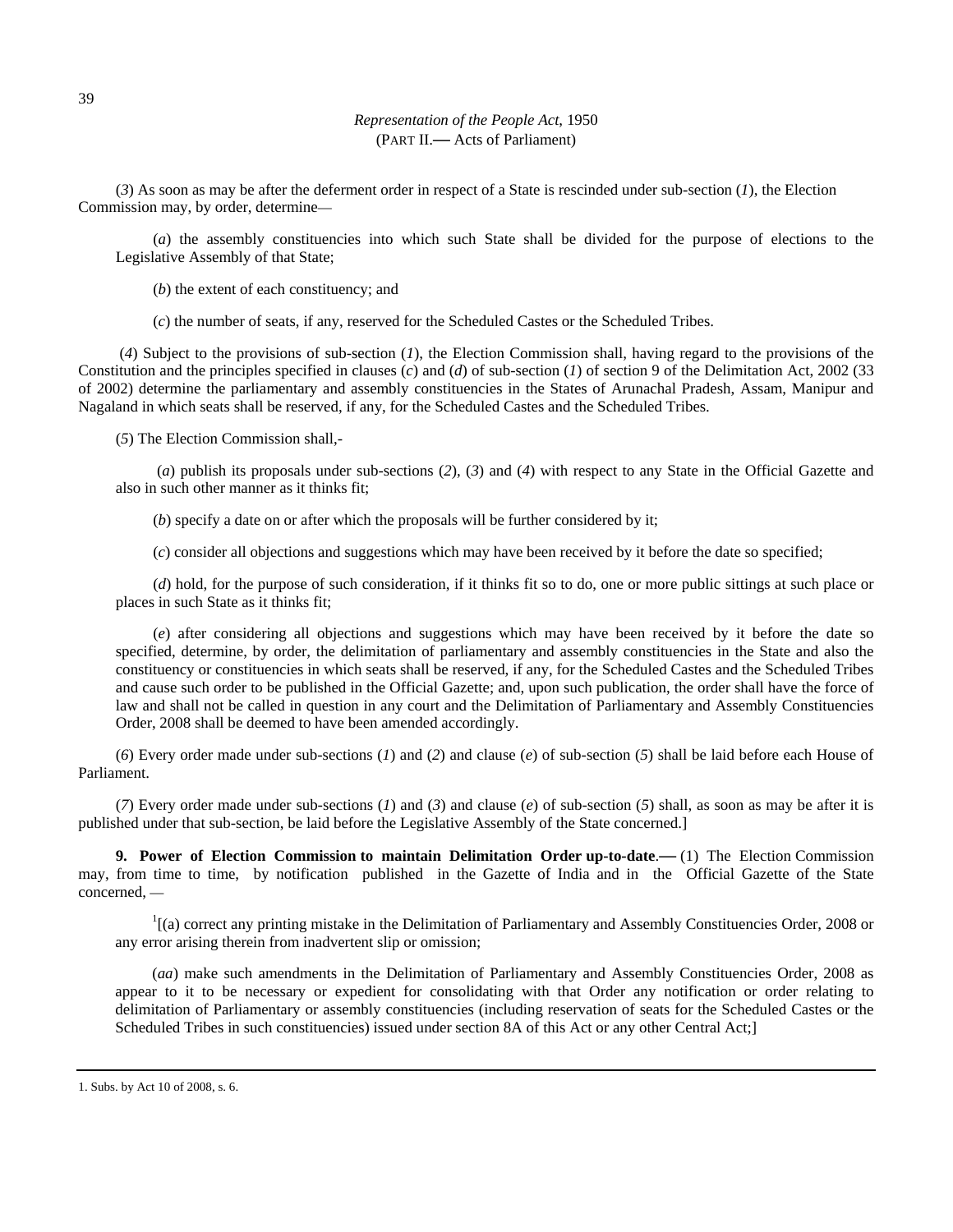(*3*) As soon as may be after the deferment order in respect of a State is rescinded under sub-section (*1*), the Election Commission may, by order, determine—

(*a*) the assembly constituencies into which such State shall be divided for the purpose of elections to the Legislative Assembly of that State;

(*b*) the extent of each constituency; and

(*c*) the number of seats, if any, reserved for the Scheduled Castes or the Scheduled Tribes.

 (*4*) Subject to the provisions of sub-section (*1*), the Election Commission shall, having regard to the provisions of the Constitution and the principles specified in clauses (*c*) and (*d*) of sub-section (*1*) of section 9 of the Delimitation Act, 2002 (33 of 2002) determine the parliamentary and assembly constituencies in the States of Arunachal Pradesh, Assam, Manipur and Nagaland in which seats shall be reserved, if any, for the Scheduled Castes and the Scheduled Tribes.

(*5*) The Election Commission shall,-

 (*a*) publish its proposals under sub-sections (*2*), (*3*) and (*4*) with respect to any State in the Official Gazette and also in such other manner as it thinks fit;

(*b*) specify a date on or after which the proposals will be further considered by it;

(*c*) consider all objections and suggestions which may have been received by it before the date so specified;

(*d*) hold, for the purpose of such consideration, if it thinks fit so to do, one or more public sittings at such place or places in such State as it thinks fit;

(*e*) after considering all objections and suggestions which may have been received by it before the date so specified, determine, by order, the delimitation of parliamentary and assembly constituencies in the State and also the constituency or constituencies in which seats shall be reserved, if any, for the Scheduled Castes and the Scheduled Tribes and cause such order to be published in the Official Gazette; and, upon such publication, the order shall have the force of law and shall not be called in question in any court and the Delimitation of Parliamentary and Assembly Constituencies Order, 2008 shall be deemed to have been amended accordingly.

(*6*) Every order made under sub-sections (*1*) and (*2*) and clause (*e*) of sub-section (*5*) shall be laid before each House of Parliament.

(*7*) Every order made under sub-sections (*1*) and (*3*) and clause (*e*) of sub-section (*5*) shall, as soon as may be after it is published under that sub-section, be laid before the Legislative Assembly of the State concerned.]

**9. Power of Election Commission to maintain Delimitation Order up-to-date**.**—** (1) The Election Commission may, from time to time, by notification published in the Gazette of India and in the Official Gazette of the State concerned, —

<sup>1</sup>[(a) correct any printing mistake in the Delimitation of Parliamentary and Assembly Constituencies Order, 2008 or any error arising therein from inadvertent slip or omission;

(*aa*) make such amendments in the Delimitation of Parliamentary and Assembly Constituencies Order, 2008 as appear to it to be necessary or expedient for consolidating with that Order any notification or order relating to delimitation of Parliamentary or assembly constituencies (including reservation of seats for the Scheduled Castes or the Scheduled Tribes in such constituencies) issued under section 8A of this Act or any other Central Act;]

1. Subs. by Act 10 of 2008, s. 6.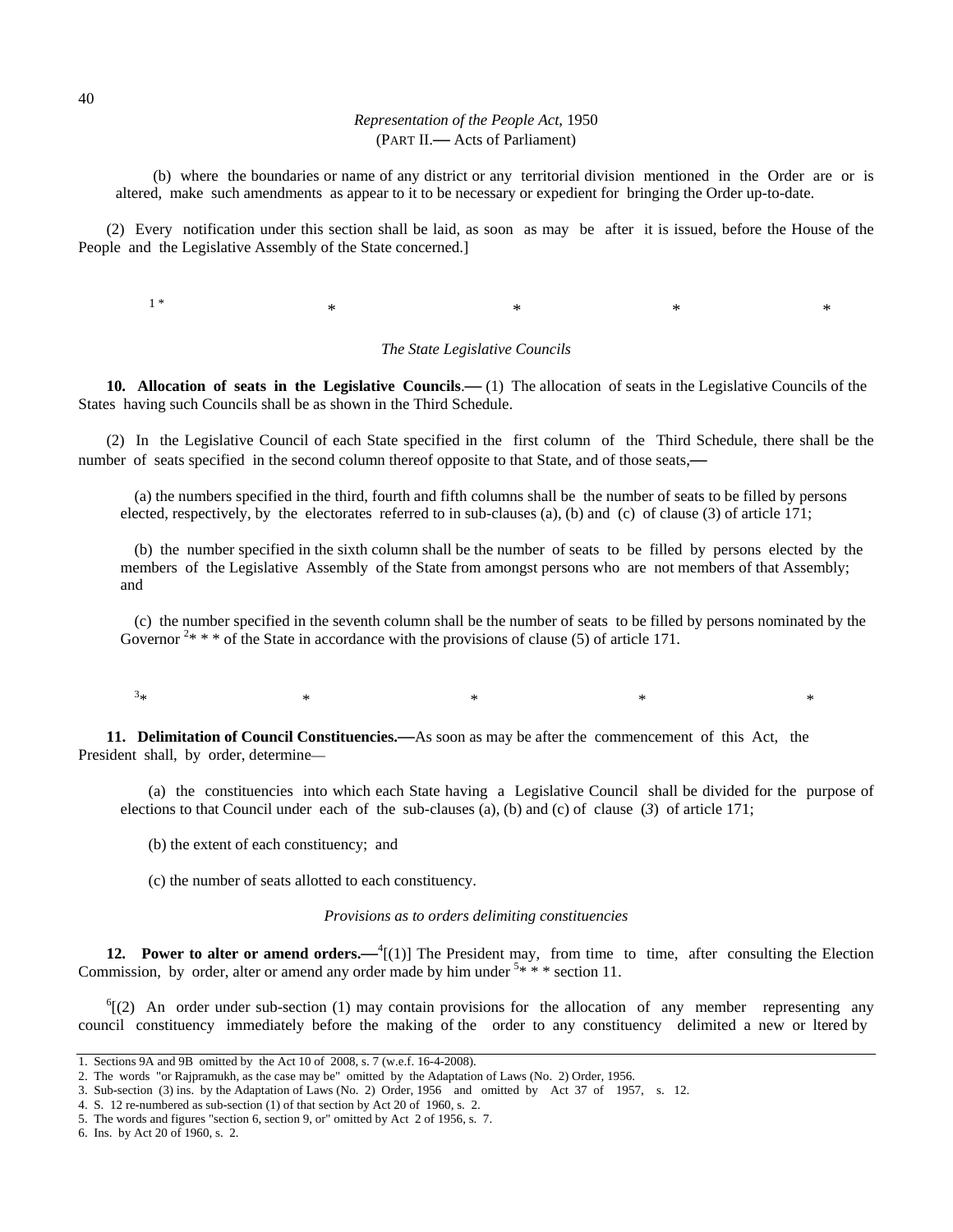(b) where the boundaries or name of any district or any territorial division mentioned in the Order are or is altered, make such amendments as appear to it to be necessary or expedient for bringing the Order up-to-date.

(2) Every notification under this section shall be laid, as soon as may be after it is issued, before the House of the People and the Legislative Assembly of the State concerned.]

 $\begin{matrix} 1 \end{matrix}^* \qquad \qquad \begin{matrix} \ast & \ast & \ast & \ast \end{matrix}$ 

#### *The State Legislative Councils*

**10. Allocation of seats in the Legislative Councils**.**—** (1) The allocation of seats in the Legislative Councils of the States having such Councils shall be as shown in the Third Schedule.

(2) In the Legislative Council of each State specified in the first column of the Third Schedule, there shall be the number of seats specified in the second column thereof opposite to that State, and of those seats,—

(a) the numbers specified in the third, fourth and fifth columns shall be the number of seats to be filled by persons elected, respectively, by the electorates referred to in sub-clauses (a), (b) and (c) of clause (3) of article 171;

(b) the number specified in the sixth column shall be the number of seats to be filled by persons elected by the members of the Legislative Assembly of the State from amongst persons who are not members of that Assembly; and

(c) the number specified in the seventh column shall be the number of seats to be filled by persons nominated by the Governor  $2* * *$  of the State in accordance with the provisions of clause (5) of article 171.

3\* \* \* \* \*

**11. Delimitation of Council Constituencies.—**As soon as may be after the commencement of this Act, the President shall, by order, determine—

(a) the constituencies into which each State having a Legislative Council shall be divided for the purpose of elections to that Council under each of the sub-clauses (a), (b) and (c) of clause (*3*) of article 171;

(b) the extent of each constituency; and

(c) the number of seats allotted to each constituency.

#### *Provisions as to orders delimiting constituencies*

12. Power to alter or amend orders.—<sup>4</sup>[(1)] The President may, from time to time, after consulting the Election Commission, by order, alter or amend any order made by him under  $5* * *$  section 11.

 ${}^{6}$ [(2) An order under sub-section (1) may contain provisions for the allocation of any member representing any council constituency immediately before the making of the order to any constituency delimited a new or ltered by

<sup>1.</sup> Sections 9A and 9B omitted by the Act 10 of 2008, s. 7 (w.e.f. 16-4-2008).

<sup>2.</sup> The words "or Rajpramukh, as the case may be" omitted by the Adaptation of Laws (No. 2) Order, 1956.

<sup>3.</sup> Sub-section (3) ins. by the Adaptation of Laws (No. 2) Order, 1956 and omitted by Act 37 of 1957, s. 12.

<sup>4.</sup> S. 12 re-numbered as sub-section (1) of that section by Act 20 of 1960, s. 2.

<sup>5.</sup> The words and figures "section 6, section 9, or" omitted by Act 2 of 1956, s. 7.

<sup>6.</sup> Ins. by Act 20 of 1960, s. 2.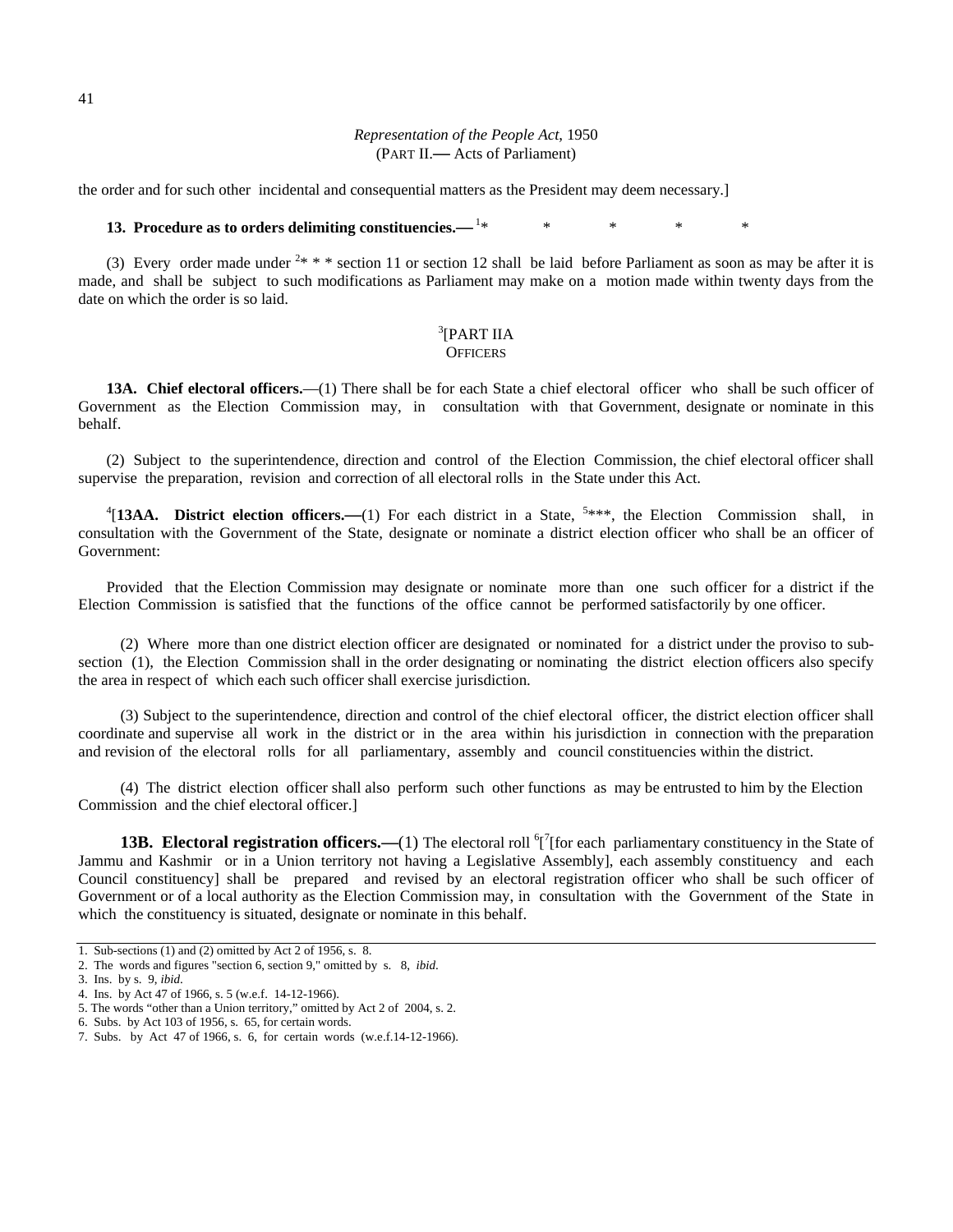the order and for such other incidental and consequential matters as the President may deem necessary.]

# **13. Procedure as to orders delimiting constituencies.—** 1\* \* \* \* \*

(3) Every order made under  $2$ \* \* \* section 11 or section 12 shall be laid before Parliament as soon as may be after it is made, and shall be subject to such modifications as Parliament may make on a motion made within twenty days from the date on which the order is so laid.

### $\rm ^3$ [PART IIA **OFFICERS**

**13A. Chief electoral officers.**—(1) There shall be for each State a chief electoral officer who shall be such officer of Government as the Election Commission may, in consultation with that Government, designate or nominate in this behalf.

(2) Subject to the superintendence, direction and control of the Election Commission, the chief electoral officer shall supervise the preparation, revision and correction of all electoral rolls in the State under this Act.

<sup>4</sup>[13AA. District election officers.—(1) For each district in a State, <sup>5\*\*\*</sup>, the Election Commission shall, in consultation with the Government of the State, designate or nominate a district election officer who shall be an officer of Government:

Provided that the Election Commission may designate or nominate more than one such officer for a district if the Election Commission is satisfied that the functions of the office cannot be performed satisfactorily by one officer.

(2) Where more than one district election officer are designated or nominated for a district under the proviso to subsection (1), the Election Commission shall in the order designating or nominating the district election officers also specify the area in respect of which each such officer shall exercise jurisdiction.

(3) Subject to the superintendence, direction and control of the chief electoral officer, the district election officer shall coordinate and supervise all work in the district or in the area within his jurisdiction in connection with the preparation and revision of the electoral rolls for all parliamentary, assembly and council constituencies within the district.

(4) The district election officer shall also perform such other functions as may be entrusted to him by the Election Commission and the chief electoral officer.]

**13B. Electoral registration officers.**—(1) The electoral roll <sup>6</sup>[<sup>7</sup>[for each parliamentary constituency in the State of Jammu and Kashmir or in a Union territory not having a Legislative Assembly], each assembly constituency and each Council constituency] shall be prepared and revised by an electoral registration officer who shall be such officer of Government or of a local authority as the Election Commission may, in consultation with the Government of the State in which the constituency is situated, designate or nominate in this behalf.

<sup>1.</sup> Sub-sections (1) and (2) omitted by Act 2 of 1956, s. 8.

<sup>2.</sup> The words and figures "section 6, section 9," omitted by s. 8, *ibid*.

<sup>3.</sup> Ins. by s. 9, *ibid*.

<sup>4.</sup> Ins. by Act 47 of 1966, s. 5 (w.e.f. 14-12-1966).

<sup>5.</sup> The words "other than a Union territory," omitted by Act 2 of 2004, s. 2.

<sup>6.</sup> Subs. by Act 103 of 1956, s. 65, for certain words.

<sup>7.</sup> Subs. by Act 47 of 1966, s. 6, for certain words (w.e.f.14-12-1966).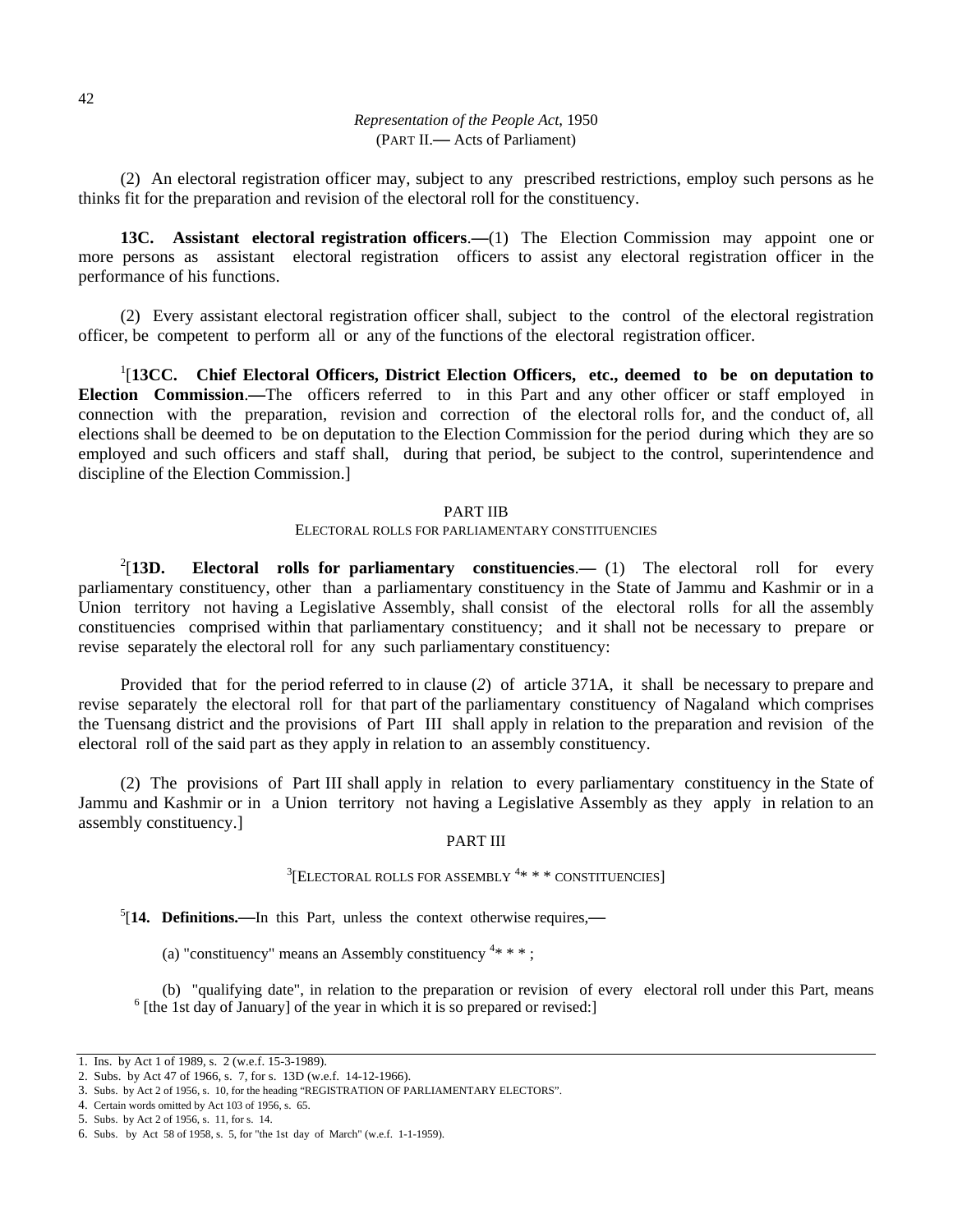(2) An electoral registration officer may, subject to any prescribed restrictions, employ such persons as he thinks fit for the preparation and revision of the electoral roll for the constituency.

**13C. Assistant electoral registration officers**.**—**(1) The Election Commission may appoint one or more persons as assistant electoral registration officers to assist any electoral registration officer in the performance of his functions.

(2) Every assistant electoral registration officer shall, subject to the control of the electoral registration officer, be competent to perform all or any of the functions of the electoral registration officer.

<sup>1</sup>[13CC. Chief Electoral Officers, District Election Officers, etc., deemed to be on deputation to **Election Commission**.**—**The officers referred to in this Part and any other officer or staff employed in connection with the preparation, revision and correction of the electoral rolls for, and the conduct of, all elections shall be deemed to be on deputation to the Election Commission for the period during which they are so employed and such officers and staff shall, during that period, be subject to the control, superintendence and discipline of the Election Commission.]

# PART IIB

# ELECTORAL ROLLS FOR PARLIAMENTARY CONSTITUENCIES

 $^{2}$ [13D. **Electoral rolls for parliamentary constituencies. (1) The electoral roll for every** parliamentary constituency, other than a parliamentary constituency in the State of Jammu and Kashmir or in a Union territory not having a Legislative Assembly, shall consist of the electoral rolls for all the assembly constituencies comprised within that parliamentary constituency; and it shall not be necessary to prepare or revise separately the electoral roll for any such parliamentary constituency:

Provided that for the period referred to in clause (*2*) of article 371A, it shall be necessary to prepare and revise separately the electoral roll for that part of the parliamentary constituency of Nagaland which comprises the Tuensang district and the provisions of Part III shall apply in relation to the preparation and revision of the electoral roll of the said part as they apply in relation to an assembly constituency.

(2) The provisions of Part III shall apply in relation to every parliamentary constituency in the State of Jammu and Kashmir or in a Union territory not having a Legislative Assembly as they apply in relation to an assembly constituency.]

#### PART III

# <sup>3</sup>[ELECTORAL ROLLS FOR ASSEMBLY <sup>4</sup>\* \* \* CONSTITUENCIES]

5 [**14. Definitions.—**In this Part, unless the context otherwise requires,**—**

(a) "constituency" means an Assembly constituency  $4***$ ;

(b) "qualifying date", in relation to the preparation or revision of every electoral roll under this Part, means 6  $<sup>6</sup>$  [the 1st day of January] of the year in which it is so prepared or revised:]</sup>

<sup>1.</sup> Ins. by Act 1 of 1989, s. 2 (w.e.f. 15-3-1989).

<sup>2.</sup> Subs. by Act 47 of 1966, s. 7, for s. 13D (w.e.f. 14-12-1966).

<sup>3.</sup> Subs. by Act 2 of 1956, s. 10, for the heading "REGISTRATION OF PARLIAMENTARY ELECTORS".

<sup>4.</sup> Certain words omitted by Act 103 of 1956, s. 65.

<sup>5.</sup> Subs. by Act 2 of 1956, s. 11, for s. 14.

<sup>6.</sup> Subs. by Act 58 of 1958, s. 5, for "the 1st day of March" (w.e.f. 1-1-1959).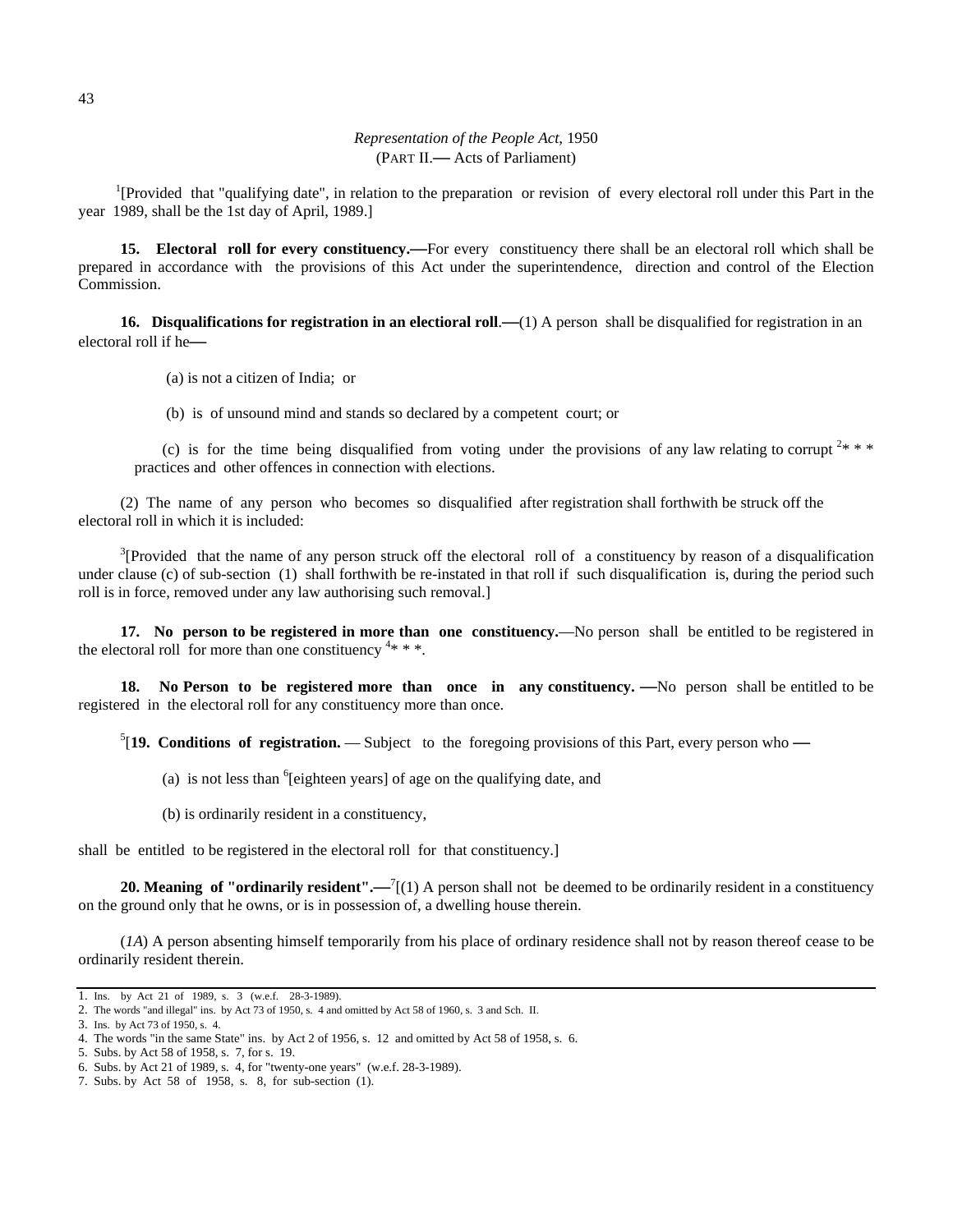<sup>1</sup>[Provided that "qualifying date", in relation to the preparation or revision of every electoral roll under this Part in the year 1989, shall be the 1st day of April, 1989.]

**15. Electoral roll for every constituency.—**For every constituency there shall be an electoral roll which shall be prepared in accordance with the provisions of this Act under the superintendence, direction and control of the Election Commission.

**16. Disqualifications for registration in an electioral roll.—(1) A person shall be disqualified for registration in an** electoral roll if he**—**

(a) is not a citizen of India; or

(b) is of unsound mind and stands so declared by a competent court; or

(c) is for the time being disqualified from voting under the provisions of any law relating to corrupt  $2$ \* \* \* practices and other offences in connection with elections.

(2) The name of any person who becomes so disqualified after registration shall forthwith be struck off the electoral roll in which it is included:

 $3$ [Provided that the name of any person struck off the electoral roll of a constituency by reason of a disqualification under clause (c) of sub-section (1) shall forthwith be re-instated in that roll if such disqualification is, during the period such roll is in force, removed under any law authorising such removal.]

**17. No person to be registered in more than one constituency.**—No person shall be entitled to be registered in the electoral roll for more than one constituency  $4***$ .

**18. No Person to be registered more than once in any constituency. —**No person shall be entitled to be registered in the electoral roll for any constituency more than once.

5 [**19. Conditions of registration.** — Subject to the foregoing provisions of this Part, every person who **—**

- (a) is not less than  $6$ [eighteen years] of age on the qualifying date, and
- (b) is ordinarily resident in a constituency,

shall be entitled to be registered in the electoral roll for that constituency.]

**20. Meaning of "ordinarily resident".—<sup>7</sup>[(1)** A person shall not be deemed to be ordinarily resident in a constituency on the ground only that he owns, or is in possession of, a dwelling house therein.

(*1A*) A person absenting himself temporarily from his place of ordinary residence shall not by reason thereof cease to be ordinarily resident therein.

<sup>1.</sup> Ins. by Act 21 of 1989, s. 3 (w.e.f. 28-3-1989).

<sup>2.</sup> The words "and illegal" ins. by Act 73 of 1950, s. 4 and omitted by Act 58 of 1960, s. 3 and Sch. II.

<sup>3.</sup> Ins. by Act 73 of 1950, s. 4.

<sup>4.</sup> The words "in the same State" ins. by Act 2 of 1956, s. 12 and omitted by Act 58 of 1958, s. 6.

<sup>5.</sup> Subs. by Act 58 of 1958, s. 7, for s. 19.

<sup>6.</sup> Subs. by Act 21 of 1989, s. 4, for "twenty-one years" (w.e.f. 28-3-1989).

<sup>7.</sup> Subs. by Act 58 of 1958, s. 8, for sub-section (1).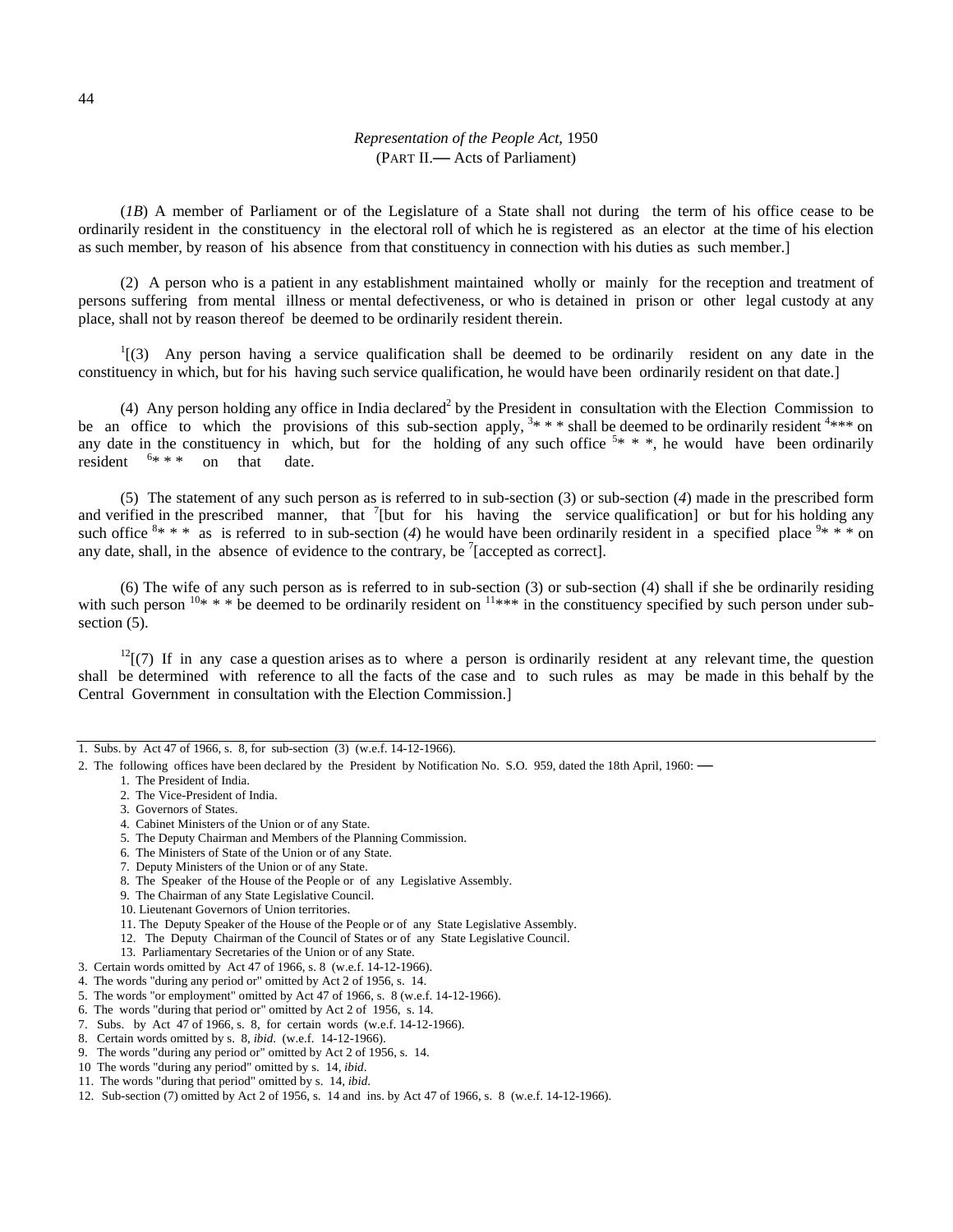(*1B*) A member of Parliament or of the Legislature of a State shall not during the term of his office cease to be ordinarily resident in the constituency in the electoral roll of which he is registered as an elector at the time of his election as such member, by reason of his absence from that constituency in connection with his duties as such member.]

(2) A person who is a patient in any establishment maintained wholly or mainly for the reception and treatment of persons suffering from mental illness or mental defectiveness, or who is detained in prison or other legal custody at any place, shall not by reason thereof be deemed to be ordinarily resident therein.

 $1(3)$  Any person having a service qualification shall be deemed to be ordinarily resident on any date in the constituency in which, but for his having such service qualification, he would have been ordinarily resident on that date.]

(4) Any person holding any office in India declared<sup>2</sup> by the President in consultation with the Election Commission to be an office to which the provisions of this sub-section apply,  $3* * *$  shall be deemed to be ordinarily resident  $4***$  on any date in the constituency in which, but for the holding of any such office  $5$ \* \* \*, he would have been ordinarily resident  $6***$ on that date.

(5) The statement of any such person as is referred to in sub-section (3) or sub-section (*4*) made in the prescribed form and verified in the prescribed manner, that  $\frac{7}{1}$  [but for his having the service qualification] or but for his holding any such office  $8$ \* \* \* as is referred to in sub-section (4) he would have been ordinarily resident in a specified place  $9$ \* \* \* on any date, shall, in the absence of evidence to the contrary, be  $\ell$  [accepted as correct].

(6) The wife of any such person as is referred to in sub-section (3) or sub-section (4) shall if she be ordinarily residing with such person  $10^* * *$  be deemed to be ordinarily resident on  $11***$  in the constituency specified by such person under subsection  $(5)$ .

 $<sup>12</sup>$ [(7) If in any case a question arises as to where a person is ordinarily resident at any relevant time, the question</sup> shall be determined with reference to all the facts of the case and to such rules as may be made in this behalf by the Central Government in consultation with the Election Commission.]

- 1. The President of India.
- 2. The Vice-President of India.
- 3. Governors of States.
- 4. Cabinet Ministers of the Union or of any State.
- 5. The Deputy Chairman and Members of the Planning Commission.
- 6. The Ministers of State of the Union or of any State.
- 7. Deputy Ministers of the Union or of any State.
- 8. The Speaker of the House of the People or of any Legislative Assembly.
- 9. The Chairman of any State Legislative Council.
- 10. Lieutenant Governors of Union territories.
- 11. The Deputy Speaker of the House of the People or of any State Legislative Assembly.
- 12. The Deputy Chairman of the Council of States or of any State Legislative Council.
- 13. Parliamentary Secretaries of the Union or of any State.
- 3. Certain words omitted by Act 47 of 1966, s. 8 (w.e.f. 14-12-1966). 4. The words "during any period or" omitted by Act 2 of 1956, s. 14.
- 5. The words "or employment" omitted by Act 47 of 1966, s. 8 (w.e.f. 14-12-1966).
- 6. The words "during that period or" omitted by Act 2 of 1956, s. 14.
- 7. Subs. by Act 47 of 1966, s. 8, for certain words (w.e.f. 14-12-1966).
- 8. Certain words omitted by s. 8, *ibid*. (w.e.f. 14-12-1966).
- 9. The words "during any period or" omitted by Act 2 of 1956, s. 14.
- 10 The words "during any period" omitted by s. 14, *ibid*.
- 11. The words "during that period" omitted by s. 14, *ibid*.
- 12. Sub-section (7) omitted by Act 2 of 1956, s. 14 and ins. by Act 47 of 1966, s. 8 (w.e.f. 14-12-1966).

<sup>1.</sup> Subs. by Act 47 of 1966, s. 8, for sub-section (3) (w.e.f. 14-12-1966).

<sup>2.</sup> The following offices have been declared by the President by Notification No. S.O. 959, dated the 18th April, 1960: **—**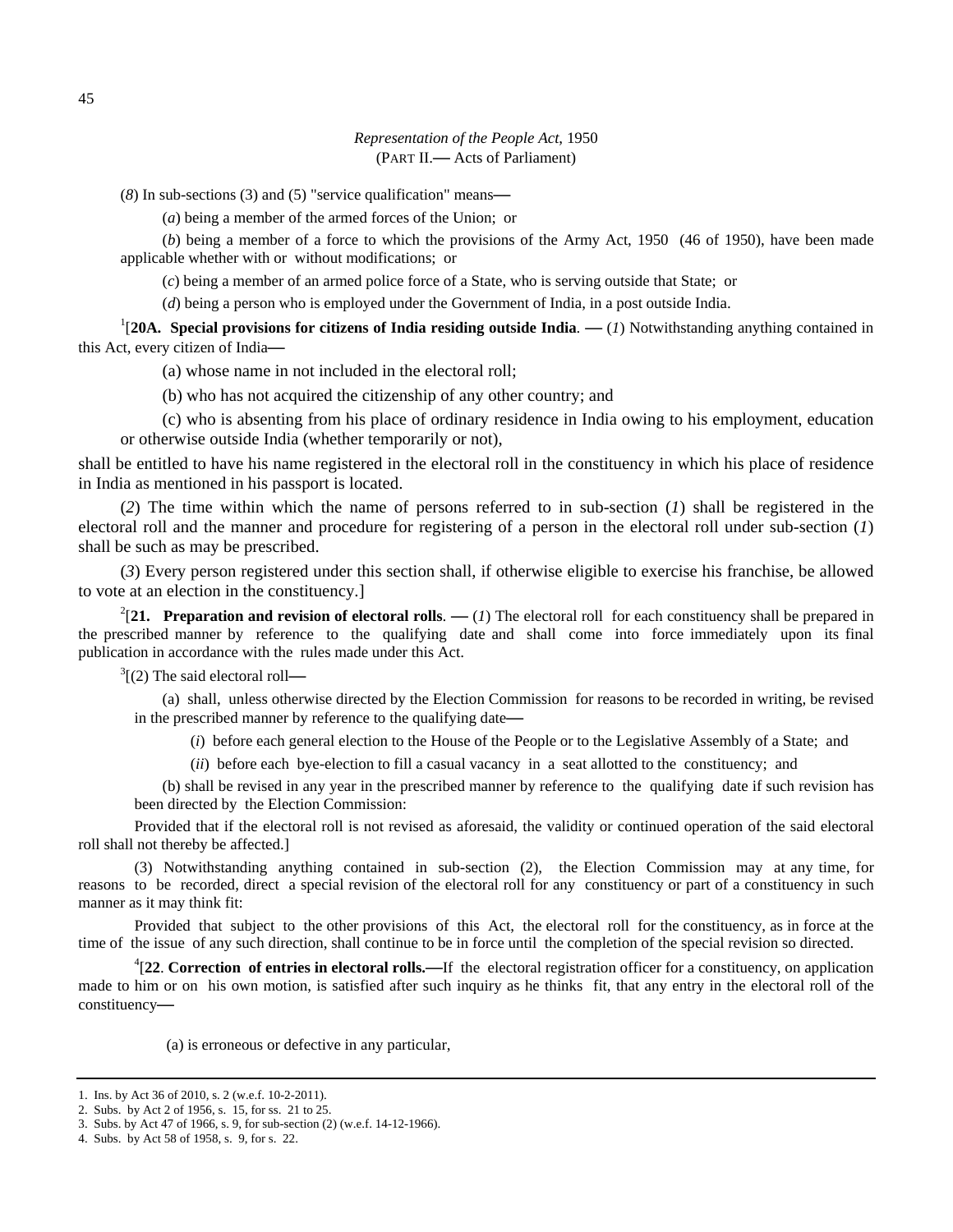(*8*) In sub-sections (3) and (5) "service qualification" means**—**

(*a*) being a member of the armed forces of the Union; or

(*b*) being a member of a force to which the provisions of the Army Act, 1950 (46 of 1950), have been made applicable whether with or without modifications; or

(*c*) being a member of an armed police force of a State, who is serving outside that State; or

(*d*) being a person who is employed under the Government of India, in a post outside India.

1 [**20A. Special provisions for citizens of India residing outside India**. **—** (*1*) Notwithstanding anything contained in this Act, every citizen of India**—** 

(a) whose name in not included in the electoral roll;

(b) who has not acquired the citizenship of any other country; and

(c) who is absenting from his place of ordinary residence in India owing to his employment, education or otherwise outside India (whether temporarily or not),

shall be entitled to have his name registered in the electoral roll in the constituency in which his place of residence in India as mentioned in his passport is located.

(*2*) The time within which the name of persons referred to in sub-section (*1*) shall be registered in the electoral roll and the manner and procedure for registering of a person in the electoral roll under sub-section (*1*) shall be such as may be prescribed.

(*3*) Every person registered under this section shall, if otherwise eligible to exercise his franchise, be allowed to vote at an election in the constituency.]

 $2$ [21. Preparation and revision of electoral rolls. — (*1*) The electoral roll for each constituency shall be prepared in the prescribed manner by reference to the qualifying date and shall come into force immediately upon its final publication in accordance with the rules made under this Act.

3 [(2) The said electoral roll**—**

(a) shall, unless otherwise directed by the Election Commission for reasons to be recorded in writing, be revised in the prescribed manner by reference to the qualifying date**—**

(*i*) before each general election to the House of the People or to the Legislative Assembly of a State; and

(*ii*) before each bye-election to fill a casual vacancy in a seat allotted to the constituency; and

(b) shall be revised in any year in the prescribed manner by reference to the qualifying date if such revision has been directed by the Election Commission:

Provided that if the electoral roll is not revised as aforesaid, the validity or continued operation of the said electoral roll shall not thereby be affected.]

(3) Notwithstanding anything contained in sub-section (2), the Election Commission may at any time, for reasons to be recorded, direct a special revision of the electoral roll for any constituency or part of a constituency in such manner as it may think fit:

Provided that subject to the other provisions of this Act, the electoral roll for the constituency, as in force at the time of the issue of any such direction, shall continue to be in force until the completion of the special revision so directed.

4 [**22**. **Correction of entries in electoral rolls.—**If the electoral registration officer for a constituency, on application made to him or on his own motion, is satisfied after such inquiry as he thinks fit, that any entry in the electoral roll of the constituency**—** 

(a) is erroneous or defective in any particular,

<sup>1.</sup> Ins. by Act 36 of 2010, s. 2 (w.e.f. 10-2-2011).

<sup>2.</sup> Subs. by Act 2 of 1956, s. 15, for ss. 21 to 25.

<sup>3.</sup> Subs. by Act 47 of 1966, s. 9, for sub-section (2) (w.e.f. 14-12-1966).

<sup>4.</sup> Subs. by Act 58 of 1958, s. 9, for s. 22.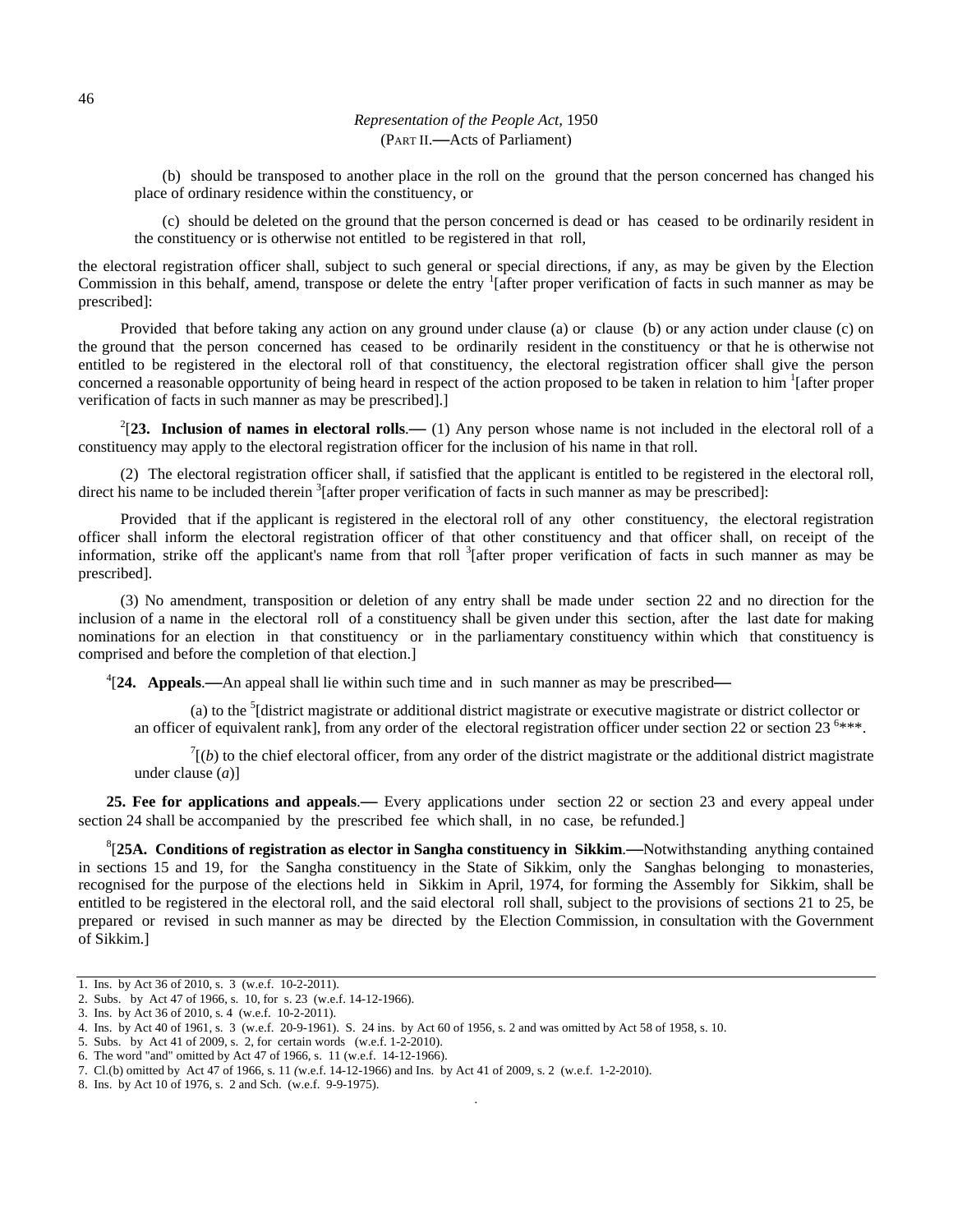(b) should be transposed to another place in the roll on the ground that the person concerned has changed his place of ordinary residence within the constituency, or

(c) should be deleted on the ground that the person concerned is dead or has ceased to be ordinarily resident in the constituency or is otherwise not entitled to be registered in that roll,

the electoral registration officer shall, subject to such general or special directions, if any, as may be given by the Election Commission in this behalf, amend, transpose or delete the entry <sup>1</sup>[after proper verification of facts in such manner as may be prescribed]:

Provided that before taking any action on any ground under clause (a) or clause (b) or any action under clause (c) on the ground that the person concerned has ceased to be ordinarily resident in the constituency or that he is otherwise not entitled to be registered in the electoral roll of that constituency, the electoral registration officer shall give the person concerned a reasonable opportunity of being heard in respect of the action proposed to be taken in relation to him <sup>1</sup> [after proper verification of facts in such manner as may be prescribed].]

 $2$ <sup>2</sup>[23. Inclusion of names in electoral rolls.— (1) Any person whose name is not included in the electoral roll of a constituency may apply to the electoral registration officer for the inclusion of his name in that roll.

(2) The electoral registration officer shall, if satisfied that the applicant is entitled to be registered in the electoral roll, direct his name to be included therein <sup>3</sup> [after proper verification of facts in such manner as may be prescribed]:

Provided that if the applicant is registered in the electoral roll of any other constituency, the electoral registration officer shall inform the electoral registration officer of that other constituency and that officer shall, on receipt of the information, strike off the applicant's name from that roll  $\frac{3}{1}$  after proper verification of facts in such manner as may be prescribed].

(3) No amendment, transposition or deletion of any entry shall be made under section 22 and no direction for the inclusion of a name in the electoral roll of a constituency shall be given under this section, after the last date for making nominations for an election in that constituency or in the parliamentary constituency within which that constituency is comprised and before the completion of that election.]

4 [**24. Appeals**.**—**An appeal shall lie within such time and in such manner as may be prescribed**—**

(a) to the <sup>5</sup>[district magistrate or additional district magistrate or executive magistrate or district collector or an officer of equivalent rank], from any order of the electoral registration officer under section 22 or section  $23^{6***}$ .

 $T(t)$  to the chief electoral officer, from any order of the district magistrate or the additional district magistrate under clause (*a*)]

**25. Fee for applications and appeals**.**—** Every applications under section 22 or section 23 and every appeal under section 24 shall be accompanied by the prescribed fee which shall, in no case, be refunded.]

8 [**25A. Conditions of registration as elector in Sangha constituency in Sikkim**.**—**Notwithstanding anything contained in sections 15 and 19, for the Sangha constituency in the State of Sikkim, only the Sanghas belonging to monasteries, recognised for the purpose of the elections held in Sikkim in April, 1974, for forming the Assembly for Sikkim, shall be entitled to be registered in the electoral roll, and the said electoral roll shall, subject to the provisions of sections 21 to 25, be prepared or revised in such manner as may be directed by the Election Commission, in consultation with the Government of Sikkim.]

.

<sup>1.</sup> Ins. by Act 36 of 2010, s. 3 (w.e.f. 10-2-2011).

<sup>2.</sup> Subs. by Act 47 of 1966, s. 10, for s. 23 (w.e.f. 14-12-1966).

<sup>3.</sup> Ins. by Act 36 of 2010, s. 4 (w.e.f. 10-2-2011).

<sup>4.</sup> Ins. by Act 40 of 1961, s. 3 (w.e.f. 20-9-1961). S. 24 ins. by Act 60 of 1956, s. 2 and was omitted by Act 58 of 1958, s. 10.

<sup>5.</sup> Subs. by Act 41 of 2009, s. 2, for certain words (w.e.f. 1-2-2010).

<sup>6.</sup> The word "and" omitted by Act 47 of 1966, s. 11 (w.e.f. 14-12-1966).

<sup>7.</sup> Cl.(b) omitted by Act 47 of 1966, s. 11 *(*w.e.f. 14-12-1966) and Ins. by Act 41 of 2009, s. 2 (w.e.f. 1-2-2010).

<sup>8.</sup> Ins. by Act 10 of 1976, s. 2 and Sch. (w.e.f. 9-9-1975).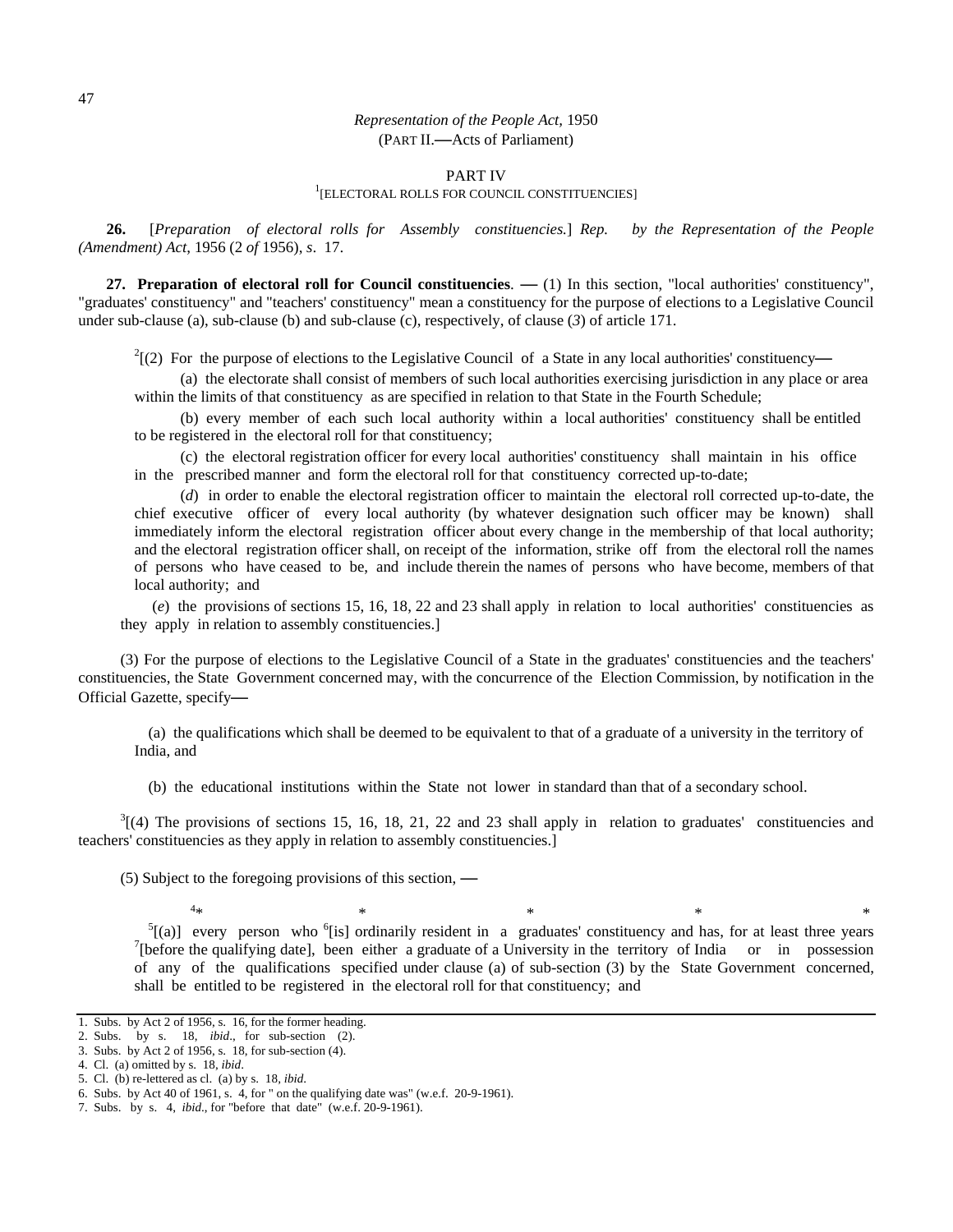# PART IV<br><sup>1</sup>[ELECTORAL ROLLS FOR COUNCIL CONSTITUENCIES]

**26.** [*Preparation of electoral rolls for Assembly constituencies.*] *Rep. by the Representation of the People (Amendment) Act*, 1956 (2 *of* 1956), *s*. 17.

**27. Preparation of electoral roll for Council constituencies**. **—** (1) In this section, "local authorities' constituency", "graduates' constituency" and "teachers' constituency" mean a constituency for the purpose of elections to a Legislative Council under sub-clause (a), sub-clause (b) and sub-clause (c), respectively, of clause (*3*) of article 171.

2 [(2) For the purpose of elections to the Legislative Council of a State in any local authorities' constituency**—**

 (a) the electorate shall consist of members of such local authorities exercising jurisdiction in any place or area within the limits of that constituency as are specified in relation to that State in the Fourth Schedule;

 (b) every member of each such local authority within a local authorities' constituency shall be entitled to be registered in the electoral roll for that constituency;

 (c) the electoral registration officer for every local authorities' constituency shall maintain in his office in the prescribed manner and form the electoral roll for that constituency corrected up-to-date;

 (*d*) in order to enable the electoral registration officer to maintain the electoral roll corrected up-to-date, the chief executive officer of every local authority (by whatever designation such officer may be known) shall immediately inform the electoral registration officer about every change in the membership of that local authority; and the electoral registration officer shall, on receipt of the information, strike off from the electoral roll the names of persons who have ceased to be, and include therein the names of persons who have become, members of that local authority; and

 (*e*) the provisions of sections 15, 16, 18, 22 and 23 shall apply in relation to local authorities' constituencies as they apply in relation to assembly constituencies.]

(3) For the purpose of elections to the Legislative Council of a State in the graduates' constituencies and the teachers' constituencies, the State Government concerned may, with the concurrence of the Election Commission, by notification in the Official Gazette, specify**—**

(a) the qualifications which shall be deemed to be equivalent to that of a graduate of a university in the territory of India, and

(b) the educational institutions within the State not lower in standard than that of a secondary school.

 $3(4)$  The provisions of sections 15, 16, 18, 21, 22 and 23 shall apply in relation to graduates' constituencies and teachers' constituencies as they apply in relation to assembly constituencies.]

(5) Subject to the foregoing provisions of this section, **—**

<sup>5</sup>[(a)] every person who <sup>6</sup>[is] ordinarily resident in a graduates' constituency and has, for at least three years <sup>7</sup>[hofors the qualifying data], heap either a graduate of a University in the territory of Indie or in  $\int$ [before the qualifying date], been either a graduate of a University in the territory of India or in possession of any of the qualifications specified under clause (a) of sub-section (3) by the State Government concerned, shall be entitled to be registered in the electoral roll for that constituency; and

 $4*$ 

<sup>1.</sup> Subs. by Act 2 of 1956, s. 16, for the former heading.

<sup>2.</sup> Subs. by s. 18, *ibid*., for sub-section (2).

<sup>3.</sup> Subs. by Act 2 of 1956, s. 18, for sub-section (4).

<sup>4.</sup> Cl. (a) omitted by s. 18, *ibid*.

<sup>5.</sup> Cl. (b) re-lettered as cl. (a) by s. 18*, ibid*.

<sup>6.</sup> Subs. by Act 40 of 1961, s. 4, for " on the qualifying date was" (w.e.f. 20-9-1961).

<sup>7.</sup> Subs. by s. 4, *ibid*., for "before that date" (w.e.f. 20-9-1961).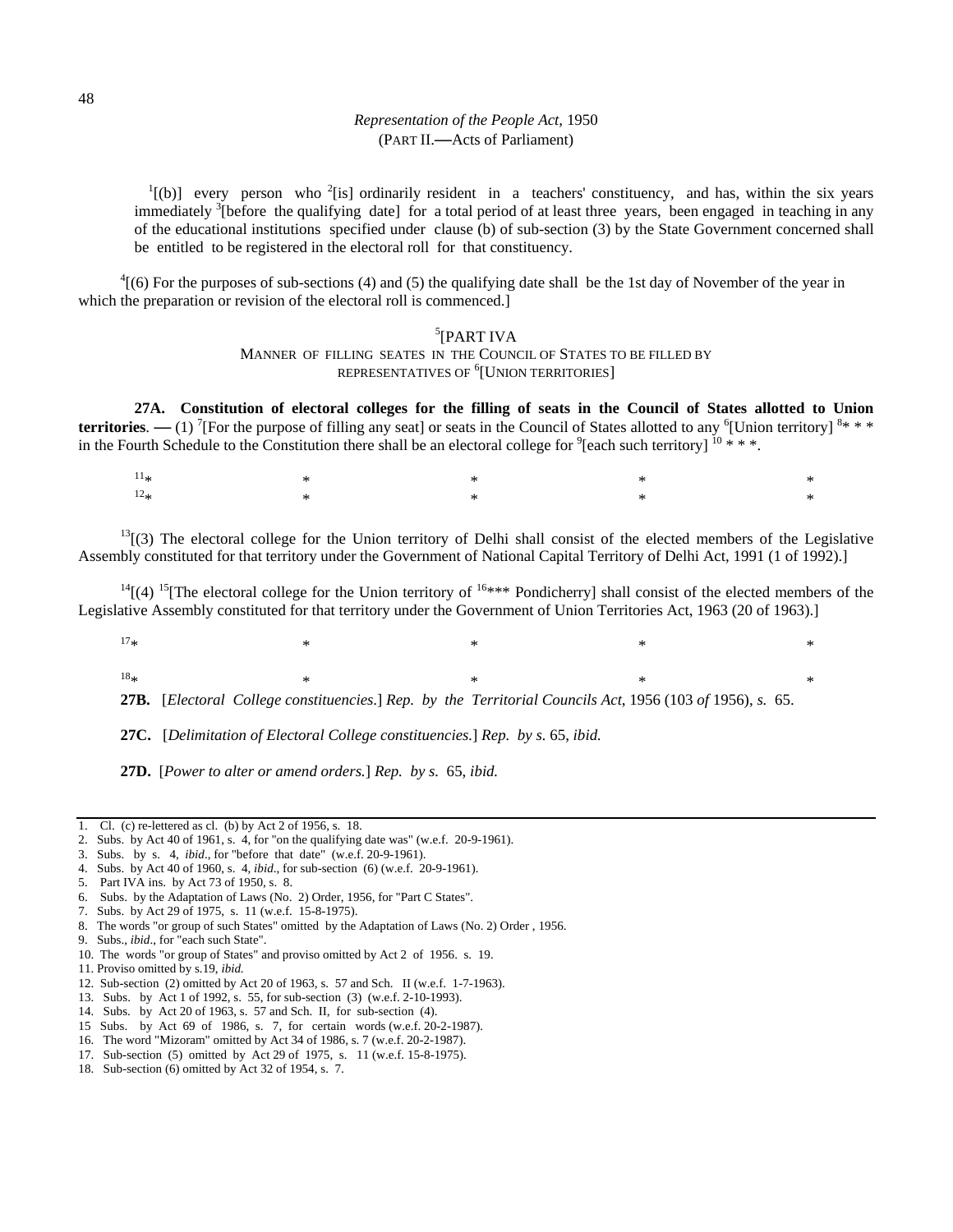$\binom{1}{b}$  every person who <sup>2</sup>[is] ordinarily resident in a teachers' constituency, and has, within the six years immediately <sup>3</sup>[before the qualifying date] for a total period of at least three years, been engaged in teaching in any of the educational institutions specified under clause (b) of sub-section (3) by the State Government concerned shall be entitled to be registered in the electoral roll for that constituency.

 $^{4}$ [(6) For the purposes of sub-sections (4) and (5) the qualifying date shall be the 1st day of November of the year in which the preparation or revision of the electoral roll is commenced.]

# 5 [PART IVA

MANNER OF FILLING SEATES IN THE COUNCIL OF STATES TO BE FILLED BY REPRESENTATIVES OF <sup>6</sup> [UNION TERRITORIES]

**27A. Constitution of electoral colleges for the filling of seats in the Council of States allotted to Union territories.**  $-$  **(1)** <sup>7</sup>[For the purpose of filling any seat] or seats in the Council of States allotted to any <sup>6</sup>[Union territory]  $8$ \* \* \* in the Fourth Schedule to the Constitution there shall be an electoral college for  $^9$  [each such territory]  $^{10}$  \* \* \*.

| $11*$ |  | $\ast$ $\ast$ $\ast$                                                                                                                                                                                                                                                                                                                                              |  |
|-------|--|-------------------------------------------------------------------------------------------------------------------------------------------------------------------------------------------------------------------------------------------------------------------------------------------------------------------------------------------------------------------|--|
| $12*$ |  | $\begin{picture}(180,180)(0,0) \put(0,0){\vector(1,0){180}} \put(10,0){\vector(1,0){180}} \put(10,0){\vector(1,0){180}} \put(10,0){\vector(1,0){180}} \put(10,0){\vector(1,0){180}} \put(10,0){\vector(1,0){180}} \put(10,0){\vector(1,0){180}} \put(10,0){\vector(1,0){180}} \put(10,0){\vector(1,0){180}} \put(10,0){\vector(1,0){180}} \put(10,0){\vector(1,0$ |  |

 $13$ [(3) The electoral college for the Union territory of Delhi shall consist of the elected members of the Legislative Assembly constituted for that territory under the Government of National Capital Territory of Delhi Act, 1991 (1 of 1992).]

 $14$ [(4)  $15$ [The electoral college for the Union territory of  $16***$  Pondicherry] shall consist of the elected members of the Legislative Assembly constituted for that territory under the Government of Union Territories Act, 1963 (20 of 1963).]

 $17*$  \* \* \* \* \* \* \* \* \* \* 18\* \* \* \* \* **27B.** [*Electoral College constituencies*.] *Rep. by the Territorial Councils Act*, 1956 (103 *of* 1956), *s.* 65.

**27C.** [*Delimitation of Electoral College constituencies.*] *Rep. by s.* 65, *ibid.* 

**27D.** [*Power to alter or amend orders.*] *Rep. by s.* 65, *ibid.* 

- 4. Subs. by Act 40 of 1960, s. 4, *ibid*., for sub-section (6) (w.e.f. 20-9-1961).
- 5. Part IVA ins. by Act 73 of 1950, s. 8.
- 6. Subs. by the Adaptation of Laws (No. 2) Order, 1956, for "Part C States".
- 7. Subs. by Act 29 of 1975, s. 11 (w.e.f. 15-8-1975).
- 8. The words "or group of such States" omitted by the Adaptation of Laws (No. 2) Order , 1956.
- 9. Subs., *ibid*., for "each such State".
- 10. The words "or group of States" and proviso omitted by Act 2 of 1956. s. 19.
- 11. Proviso omitted by s.19, *ibid.*

- 13. Subs. by Act 1 of 1992, s. 55, for sub-section (3) (w.e.f. 2-10-1993).
- 14. Subs. by Act 20 of 1963, s. 57 and Sch. II, for sub-section (4).
- 15 Subs. by Act 69 of 1986, s. 7, for certain words (w.e.f. 20-2-1987).
- 16. The word "Mizoram" omitted by Act 34 of 1986, s. 7 (w.e.f. 20-2-1987).
- 17. Sub-section (5) omitted by Act 29 of 1975, s. 11 (w.e.f. 15-8-1975).
- 18. Sub-section (6) omitted by Act 32 of 1954, s. 7.

<sup>1.</sup> Cl. (c) re-lettered as cl. (b) by Act 2 of 1956, s. 18.

<sup>2.</sup> Subs. by Act 40 of 1961, s. 4, for "on the qualifying date was" (w.e.f. 20-9-1961).

<sup>3.</sup> Subs. by s. 4, *ibid*., for "before that date" (w.e.f. 20-9-1961).

<sup>12.</sup> Sub-section (2) omitted by Act 20 of 1963, s. 57 and Sch. II (w.e.f. 1-7-1963).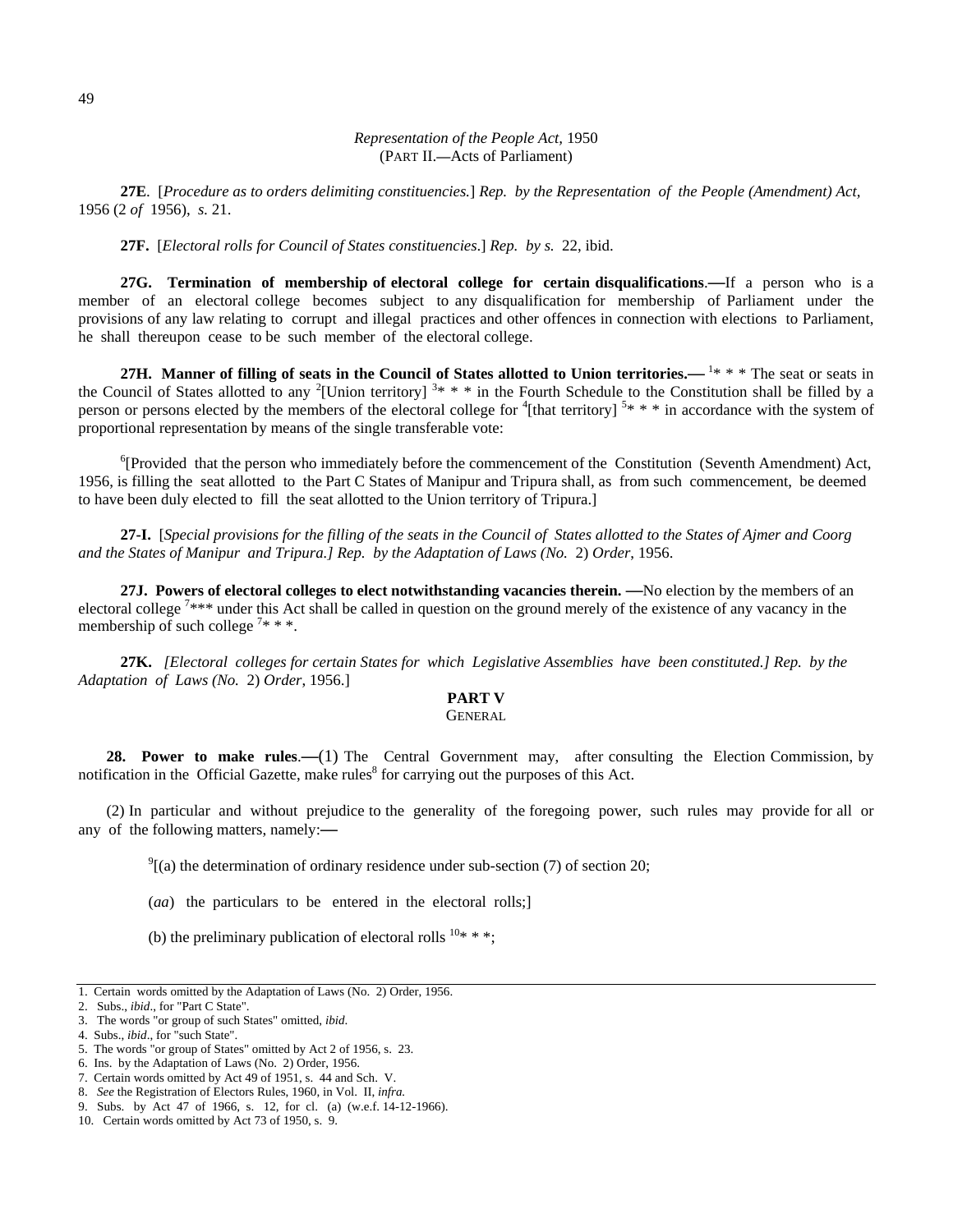**27E**. [*Procedure as to orders delimiting constituencies.*] *Rep. by the Representation of the People (Amendment) Act,* 1956 (2 *of* 1956), *s.* 21.

**27F.** [*Electoral rolls for Council of States constituencies*.] *Rep. by s.* 22, ibid.

**27G. Termination of membership of electoral college for certain disqualifications**.**—**If a person who is a member of an electoral college becomes subject to any disqualification for membership of Parliament under the provisions of any law relating to corrupt and illegal practices and other offences in connection with elections to Parliament, he shall thereupon cease to be such member of the electoral college.

**27H.** Manner of filling of seats in the Council of States allotted to Union territories.— <sup>1\*</sup> \* \* The seat or seats in the Council of States allotted to any <sup>2</sup>[Union territory]  $3* * *$  in the Fourth Schedule to the Constitution shall be filled by a person or persons elected by the members of the electoral college for  $\frac{4}{1}$  (that territory)  $5***$  in accordance with the system of proportional representation by means of the single transferable vote:

<sup>6</sup>[Provided that the person who immediately before the commencement of the Constitution (Seventh Amendment) Act, 1956, is filling the seat allotted to the Part C States of Manipur and Tripura shall, as from such commencement, be deemed to have been duly elected to fill the seat allotted to the Union territory of Tripura.]

**27-I.** [*Special provisions for the filling of the seats in the Council of States allotted to the States of Ajmer and Coorg and the States of Manipur and Tripura.] Rep. by the Adaptation of Laws (No.* 2) *Order*, 1956.

**27J. Powers of electoral colleges to elect notwithstanding vacancies therein. —**No election by the members of an electoral college  $7***$  under this Act shall be called in question on the ground merely of the existence of any vacancy in the membership of such college<sup>7\*\*\*</sup>.

**27K.** *[Electoral colleges for certain States for which Legislative Assemblies have been constituted.] Rep. by the Adaptation of Laws (No.* 2) *Order*, 1956.]

# **PART V**

# GENERAL

**28. Power to make rules**.**—**(1) The Central Government may, after consulting the Election Commission, by notification in the Official Gazette, make rules $<sup>8</sup>$  for carrying out the purposes of this Act.</sup>

(2) In particular and without prejudice to the generality of the foregoing power, such rules may provide for all or any of the following matters, namely:**—**

 $^{9}$ [(a) the determination of ordinary residence under sub-section (7) of section 20;

(*aa*) the particulars to be entered in the electoral rolls;]

(b) the preliminary publication of electoral rolls  $10**$  \*:

<sup>1.</sup> Certain words omitted by the Adaptation of Laws (No. 2) Order, 1956.

<sup>2.</sup> Subs., *ibid*., for "Part C State".

<sup>3.</sup> The words "or group of such States" omitted, *ibid*.

<sup>4.</sup> Subs., *ibid*., for "such State".

<sup>5.</sup> The words "or group of States" omitted by Act 2 of 1956, s. 23.

<sup>6.</sup> Ins. by the Adaptation of Laws (No. 2) Order, 1956.

<sup>7.</sup> Certain words omitted by Act 49 of 1951, s. 44 and Sch. V.

<sup>8.</sup> *See* the Registration of Electors Rules, 1960, in Vol. II, *infra.* 

<sup>9.</sup> Subs. by Act 47 of 1966, s. 12, for cl. (a) (w.e.f. 14-12-1966).

<sup>10.</sup> Certain words omitted by Act 73 of 1950, s. 9.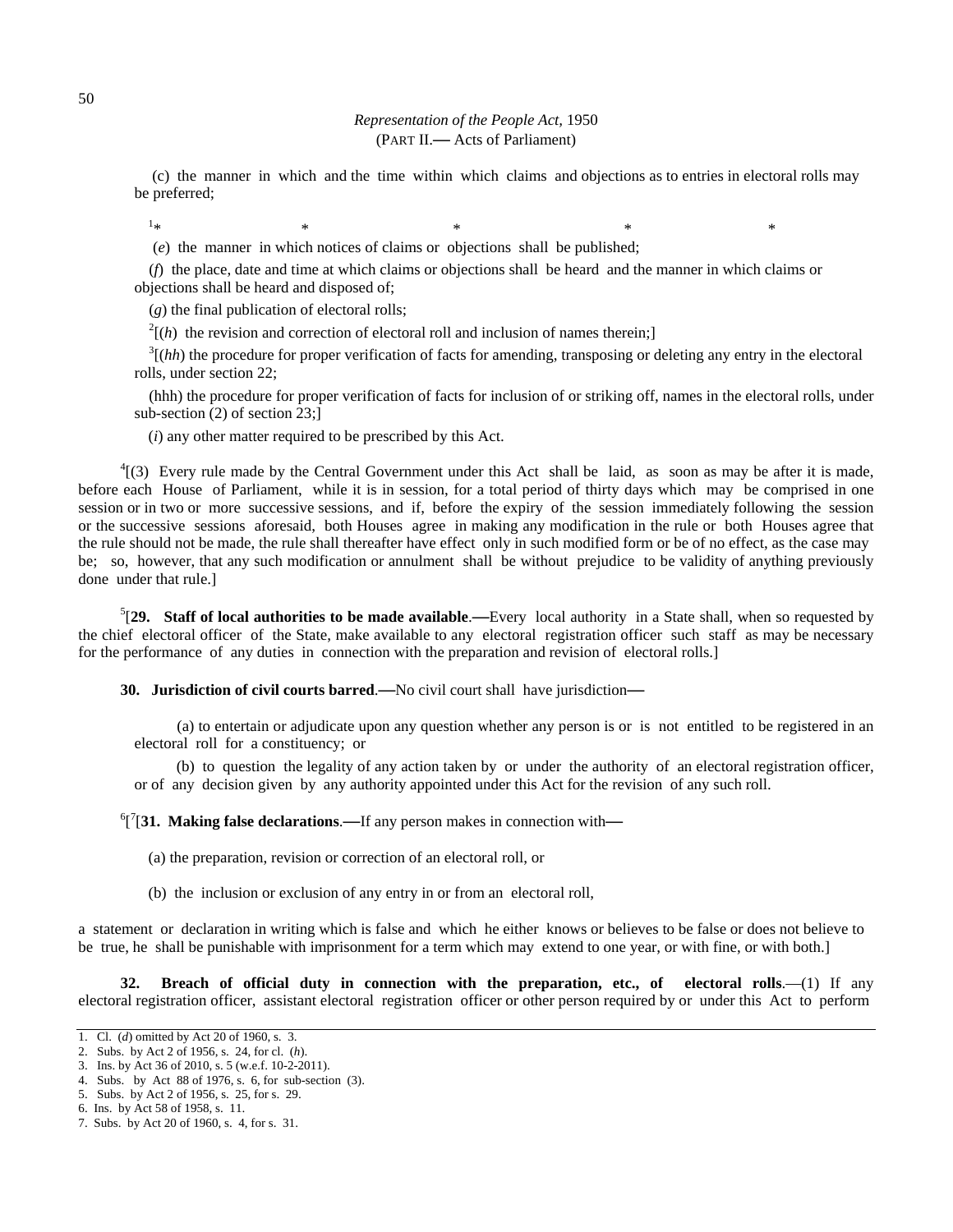(c) the manner in which and the time within which claims and objections as to entries in electoral rolls may be preferred;

 $*$   $*$   $*$   $*$   $*$   $*$   $*$   $*$ (*e*) the manner in which notices of claims or objections shall be published;

(*f*) the place, date and time at which claims or objections shall be heard and the manner in which claims or objections shall be heard and disposed of;

(*g*) the final publication of electoral rolls;

 $^{2}[(h)$  the revision and correction of electoral roll and inclusion of names therein;]<br> $^{3}[(hh)$  the procedure for proper verification of fects for emerging transposing or d

 $\frac{3}{(hh)}$  the procedure for proper verification of facts for amending, transposing or deleting any entry in the electoral rolls, under section 22;

(hhh) the procedure for proper verification of facts for inclusion of or striking off, names in the electoral rolls, under sub-section (2) of section 23;]

(*i*) any other matter required to be prescribed by this Act.

 $^{4}$ [(3) Every rule made by the Central Government under this Act shall be laid, as soon as may be after it is made, before each House of Parliament, while it is in session, for a total period of thirty days which may be comprised in one session or in two or more successive sessions, and if, before the expiry of the session immediately following the session or the successive sessions aforesaid, both Houses agree in making any modification in the rule or both Houses agree that the rule should not be made, the rule shall thereafter have effect only in such modified form or be of no effect, as the case may be; so, however, that any such modification or annulment shall be without prejudice to be validity of anything previously done under that rule.]

5 [**29. Staff of local authorities to be made available**.**—**Every local authority in a State shall, when so requested by the chief electoral officer of the State, make available to any electoral registration officer such staff as may be necessary for the performance of any duties in connection with the preparation and revision of electoral rolls.]

**30. Jurisdiction of civil courts barred**.**—**No civil court shall have jurisdiction**—**

(a) to entertain or adjudicate upon any question whether any person is or is not entitled to be registered in an electoral roll for a constituency; or

(b) to question the legality of any action taken by or under the authority of an electoral registration officer, or of any decision given by any authority appointed under this Act for the revision of any such roll.

6 [ 7 [**31. Making false declarations**.**—**If any person makes in connection with**—**

(a) the preparation, revision or correction of an electoral roll, or

(b) the inclusion or exclusion of any entry in or from an electoral roll,

a statement or declaration in writing which is false and which he either knows or believes to be false or does not believe to be true, he shall be punishable with imprisonment for a term which may extend to one year, or with fine, or with both.]

**32. Breach of official duty in connection with the preparation, etc., of electoral rolls**.—(1) If any electoral registration officer, assistant electoral registration officer or other person required by or under this Act to perform

 $1*$ 

<sup>1.</sup> Cl. (*d*) omitted by Act 20 of 1960, s. 3.

<sup>2.</sup> Subs. by Act 2 of 1956, s. 24, for cl. (*h*).

<sup>3.</sup> Ins. by Act 36 of 2010, s. 5 (w.e.f. 10-2-2011).

<sup>4.</sup> Subs. by Act 88 of 1976, s. 6, for sub-section (3).

<sup>5.</sup> Subs. by Act 2 of 1956, s. 25, for s. 29.

<sup>6.</sup> Ins. by Act 58 of 1958, s. 11.

<sup>7.</sup> Subs. by Act 20 of 1960, s. 4, for s. 31.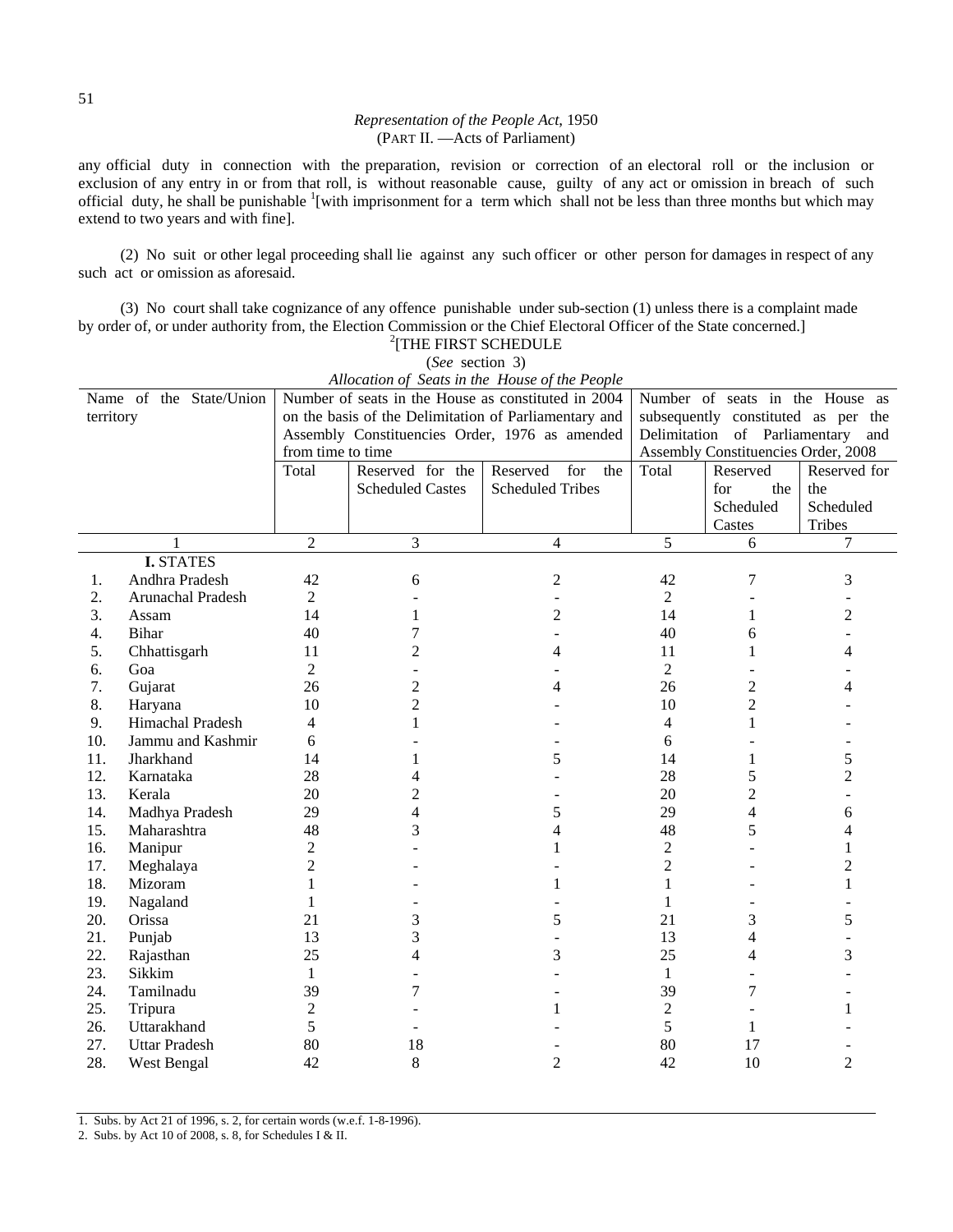any official duty in connection with the preparation, revision or correction of an electoral roll or the inclusion or exclusion of any entry in or from that roll, is without reasonable cause, guilty of any act or omission in breach of such official duty, he shall be punishable <sup>1</sup>[with imprisonment for a term which shall not be less than three months but which may extend to two years and with fine].

(2) No suit or other legal proceeding shall lie against any such officer or other person for damages in respect of any such act or omission as aforesaid.

(3) No court shall take cognizance of any offence punishable under sub-section (1) unless there is a complaint made by order of, or under authority from, the Election Commission or the Chief Electoral Officer of the State concerned.]

| Allocation of Seats in the House of the People |                         |                   |                                                       |                                                |                |                                     |                |  |
|------------------------------------------------|-------------------------|-------------------|-------------------------------------------------------|------------------------------------------------|----------------|-------------------------------------|----------------|--|
|                                                | Name of the State/Union |                   | Number of seats in the House as constituted in 2004   | Number of seats in the House as                |                |                                     |                |  |
| territory                                      |                         |                   | on the basis of the Delimitation of Parliamentary and | subsequently constituted as per the            |                |                                     |                |  |
|                                                |                         |                   |                                                       | Assembly Constituencies Order, 1976 as amended |                | Delimitation of Parliamentary       | and            |  |
|                                                |                         | from time to time |                                                       |                                                |                | Assembly Constituencies Order, 2008 |                |  |
|                                                |                         | Total             | Reserved for the                                      | Reserved<br>for<br>the                         | Total          | Reserved                            | Reserved for   |  |
|                                                |                         |                   | <b>Scheduled Castes</b>                               | <b>Scheduled Tribes</b>                        |                | for<br>the                          | the            |  |
|                                                |                         |                   |                                                       |                                                |                | Scheduled                           | Scheduled      |  |
|                                                |                         |                   |                                                       |                                                |                | Castes                              | Tribes         |  |
|                                                | 1                       | $\overline{2}$    | 3                                                     | $\overline{4}$                                 | 5              | 6                                   | $\overline{7}$ |  |
|                                                | <b>I. STATES</b>        |                   |                                                       |                                                |                |                                     |                |  |
| 1.                                             | Andhra Pradesh          | 42                | 6                                                     | 2                                              | 42             | 7                                   | 3              |  |
| 2.                                             | Arunachal Pradesh       | $\overline{2}$    |                                                       |                                                | $\overline{2}$ |                                     |                |  |
| 3.                                             | Assam                   | 14                | 1                                                     | 2                                              | 14             | 1                                   | $\overline{c}$ |  |
| 4.                                             | Bihar                   | 40                | 7                                                     |                                                | 40             | 6                                   |                |  |
| 5.                                             | Chhattisgarh            | 11                | 2                                                     | 4                                              | 11             | 1                                   | 4              |  |
| 6.                                             | Goa                     | $\overline{2}$    |                                                       |                                                | $\overline{2}$ |                                     |                |  |
| 7.                                             | Gujarat                 | 26                | $\overline{c}$                                        | 4                                              | 26             | $\overline{c}$                      |                |  |
| 8.                                             | Haryana                 | 10                | $\overline{c}$                                        |                                                | 10             | $\overline{c}$                      |                |  |
| 9.                                             | Himachal Pradesh        | 4                 | 1                                                     |                                                | $\overline{4}$ | 1                                   |                |  |
| 10.                                            | Jammu and Kashmir       | 6                 |                                                       |                                                | 6              |                                     |                |  |
| 11.                                            | Jharkhand               | 14                |                                                       | 5                                              | 14             | 1                                   | 5              |  |
| 12.                                            | Karnataka               | 28                | 4                                                     |                                                | 28             | 5                                   | $\overline{c}$ |  |
| 13.                                            | Kerala                  | 20                | 2                                                     |                                                | 20             | $\overline{c}$                      |                |  |
| 14.                                            | Madhya Pradesh          | 29                | 4                                                     | 5                                              | 29             | $\overline{4}$                      | 6              |  |
| 15.                                            | Maharashtra             | 48                | 3                                                     | 4                                              | 48             | 5                                   | 4              |  |
| 16.                                            | Manipur                 | $\overline{c}$    |                                                       | 1                                              | $\overline{2}$ |                                     | 1              |  |
| 17.                                            | Meghalaya               | $\overline{c}$    |                                                       |                                                | $\overline{c}$ |                                     | $\overline{c}$ |  |
| 18.                                            | Mizoram                 | 1                 |                                                       | 1                                              | 1              |                                     | 1              |  |
| 19.                                            | Nagaland                | 1                 |                                                       |                                                | 1              |                                     |                |  |
| 20.                                            | Orissa                  | 21                | 3                                                     | 5                                              | 21             | 3                                   | 5              |  |
| 21.                                            | Punjab                  | 13                | 3                                                     |                                                | 13             | 4                                   |                |  |
| 22.                                            | Rajasthan               | 25                | 4                                                     | 3                                              | 25             | 4                                   | 3              |  |
| 23.                                            | Sikkim                  | $\mathbf{1}$      |                                                       |                                                | $\mathbf{1}$   |                                     |                |  |
| 24.                                            | Tamilnadu               | 39                | 7                                                     |                                                | 39             | 7                                   |                |  |
| 25.                                            | Tripura                 | $\overline{c}$    |                                                       | 1                                              | $\overline{2}$ |                                     | 1              |  |
| 26.                                            | Uttarakhand             | 5                 |                                                       |                                                | 5              | 1                                   |                |  |
| 27.                                            | <b>Uttar Pradesh</b>    | 80                | 18                                                    |                                                | 80             | 17                                  |                |  |
| 28.                                            | West Bengal             | 42                | 8                                                     | 2                                              | 42             | 10                                  | 2              |  |
|                                                |                         |                   |                                                       |                                                |                |                                     |                |  |

 $^{2}$ [THE FIRST SCHEDULE (*See* section 3)

1. Subs. by Act 21 of 1996, s. 2, for certain words (w.e.f. 1-8-1996).

2. Subs. by Act 10 of 2008, s. 8, for Schedules I & II.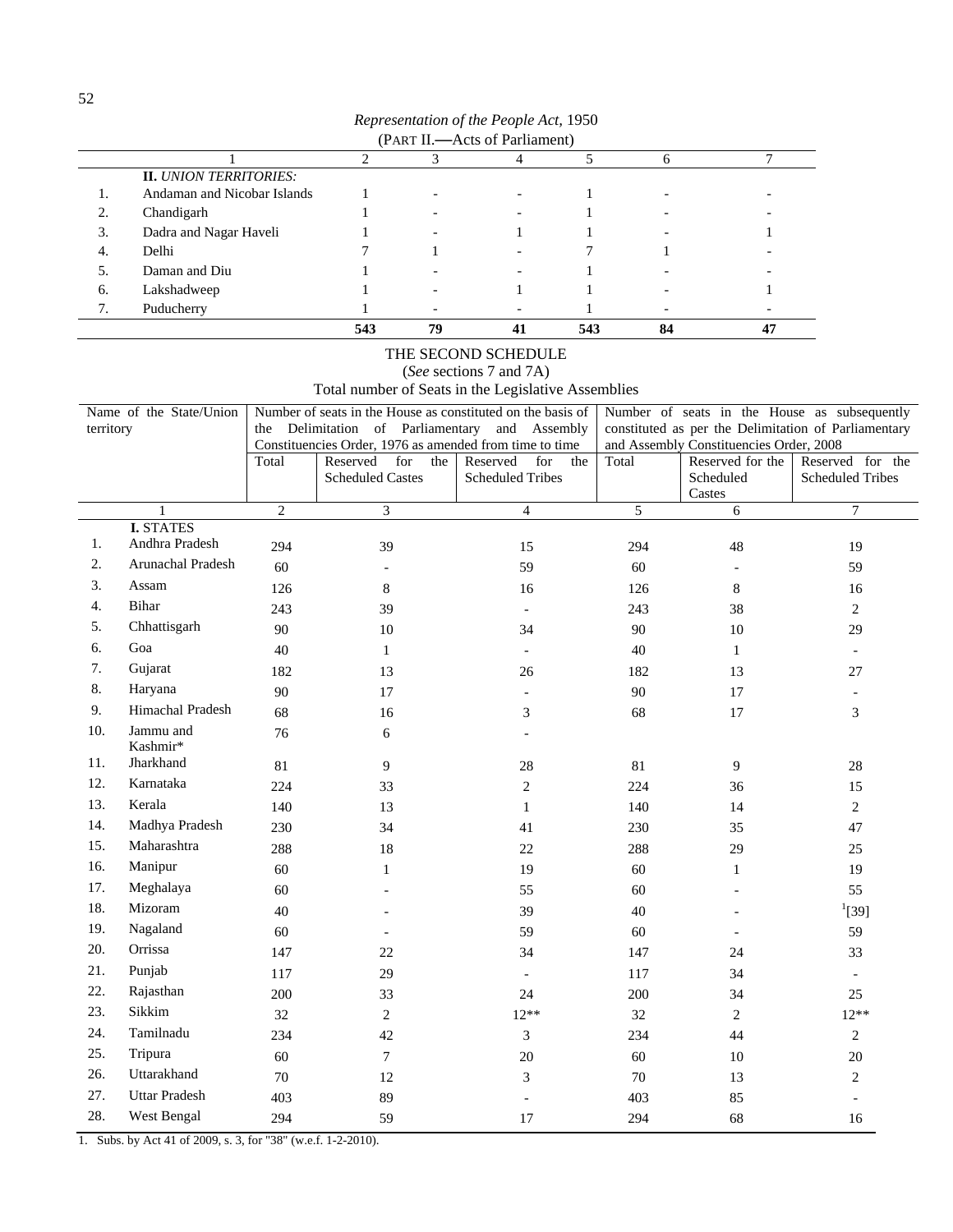| Representation of the People Act, 1950 |  |  |  |  |
|----------------------------------------|--|--|--|--|
|                                        |  |  |  |  |

|    | (PART II.-Acts of Parliament) |     |    |                |     |    |  |  |  |  |
|----|-------------------------------|-----|----|----------------|-----|----|--|--|--|--|
|    |                               |     |    |                |     | 6  |  |  |  |  |
|    | <b>II.</b> UNION TERRITORIES: |     |    |                |     |    |  |  |  |  |
| ., | Andaman and Nicobar Islands   |     |    |                |     |    |  |  |  |  |
| 2. | Chandigarh                    |     |    |                |     |    |  |  |  |  |
| 3. | Dadra and Nagar Haveli        |     |    |                |     |    |  |  |  |  |
| 4. | Delhi                         |     |    |                |     |    |  |  |  |  |
| 5. | Daman and Diu                 |     |    |                |     |    |  |  |  |  |
| 6. | Lakshadweep                   |     |    |                |     |    |  |  |  |  |
| 7. | Puducherry                    |     |    |                |     |    |  |  |  |  |
|    |                               | 543 | 79 | 4 <sup>1</sup> | 543 | 84 |  |  |  |  |

# THE SECOND SCHEDULE

(*See* sections 7 and 7A)

Total number of Seats in the Legislative Assemblies

|           | Name of the State/Union            |                | Number of seats in the House as constituted on the basis of                       |                             | Number of seats in the House as subsequently |                                                             |                                                      |  |
|-----------|------------------------------------|----------------|-----------------------------------------------------------------------------------|-----------------------------|----------------------------------------------|-------------------------------------------------------------|------------------------------------------------------|--|
| territory |                                    |                | the Delimitation of Parliamentary and Assembly                                    |                             |                                              |                                                             | constituted as per the Delimitation of Parliamentary |  |
|           |                                    | Total          | Constituencies Order, 1976 as amended from time to time<br>Reserved<br>for<br>the | Reserved<br>for<br>the      | Total                                        | and Assembly Constituencies Order, 2008<br>Reserved for the | Reserved for the                                     |  |
|           |                                    |                | <b>Scheduled Castes</b>                                                           | <b>Scheduled Tribes</b>     |                                              | Scheduled                                                   | <b>Scheduled Tribes</b>                              |  |
|           |                                    |                |                                                                                   |                             |                                              | Castes                                                      |                                                      |  |
|           |                                    | $\overline{c}$ | 3                                                                                 | $\overline{4}$              | 5                                            | 6                                                           | $\tau$                                               |  |
| 1.        | <b>I. STATES</b><br>Andhra Pradesh |                |                                                                                   |                             |                                              |                                                             |                                                      |  |
| 2.        | <b>Arunachal Pradesh</b>           | 294            | 39                                                                                | 15                          | 294                                          | 48                                                          | 19                                                   |  |
| 3.        | Assam                              | 60             | $\overline{\phantom{a}}$                                                          | 59                          | 60                                           |                                                             | 59                                                   |  |
|           |                                    | 126            | $\,8\,$                                                                           | 16                          | 126                                          | 8                                                           | 16                                                   |  |
| 4.        | Bihar                              | 243            | 39                                                                                | $\blacksquare$              | 243                                          | 38                                                          | $\overline{2}$                                       |  |
| 5.        | Chhattisgarh                       | 90             | 10                                                                                | 34                          | 90                                           | 10                                                          | 29                                                   |  |
| 6.        | Goa                                | 40             | $\mathbf{1}$                                                                      | $\overline{\phantom{a}}$    | 40                                           | $\mathbf{1}$                                                | $\blacksquare$                                       |  |
| 7.        | Gujarat                            | 182            | 13                                                                                | 26                          | 182                                          | 13                                                          | 27                                                   |  |
| 8.        | Haryana                            | 90             | 17                                                                                | $\bar{\phantom{a}}$         | $90\,$                                       | 17                                                          | $\overline{\phantom{a}}$                             |  |
| 9.        | Himachal Pradesh                   | 68             | 16                                                                                | $\ensuremath{\mathfrak{Z}}$ | 68                                           | 17                                                          | 3                                                    |  |
| 10.       | Jammu and<br>Kashmir*              | 76             | 6                                                                                 |                             |                                              |                                                             |                                                      |  |
| 11.       | Jharkhand                          | 81             | 9                                                                                 | 28                          | 81                                           | 9                                                           | 28                                                   |  |
| 12.       | Karnataka                          | 224            | 33                                                                                | $\overline{c}$              | 224                                          | 36                                                          | 15                                                   |  |
| 13.       | Kerala                             | 140            | 13                                                                                | $\mathbf{1}$                | 140                                          | 14                                                          | $\overline{2}$                                       |  |
| 14.       | Madhya Pradesh                     | 230            | 34                                                                                | 41                          | 230                                          | 35                                                          | 47                                                   |  |
| 15.       | Maharashtra                        | 288            | 18                                                                                | 22                          | 288                                          | 29                                                          | 25                                                   |  |
| 16.       | Manipur                            | 60             | $\mathbf{1}$                                                                      | 19                          | 60                                           | $\mathbf{1}$                                                | 19                                                   |  |
| 17.       | Meghalaya                          | 60             |                                                                                   | 55                          | 60                                           |                                                             | 55                                                   |  |
| 18.       | Mizoram                            | 40             |                                                                                   | 39                          | 40                                           |                                                             | $^{1}[39]$                                           |  |
| 19.       | Nagaland                           | 60             | $\overline{\phantom{a}}$                                                          | 59                          | 60                                           | $\overline{\phantom{a}}$                                    | 59                                                   |  |
| 20.       | Orrissa                            | 147            | 22                                                                                | 34                          | 147                                          | 24                                                          | 33                                                   |  |
| 21.       | Punjab                             | 117            | 29                                                                                | $\blacksquare$              | 117                                          | 34                                                          | $\overline{\phantom{a}}$                             |  |
| 22.       | Rajasthan                          | 200            | 33                                                                                | 24                          | 200                                          | 34                                                          | 25                                                   |  |
| 23.       | Sikkim                             | 32             | $\overline{2}$                                                                    | $12**$                      | 32                                           | $\overline{c}$                                              | $12**$                                               |  |
| 24.       | Tamilnadu                          | 234            | 42                                                                                | 3                           | 234                                          | 44                                                          | $\overline{2}$                                       |  |
| 25.       | Tripura                            | 60             | $\overline{7}$                                                                    | 20                          | 60                                           | 10                                                          | 20                                                   |  |
| 26.       | Uttarakhand                        | 70             | 12                                                                                | $\mathfrak{Z}$              | 70                                           | 13                                                          | $\overline{2}$                                       |  |
| 27.       | <b>Uttar Pradesh</b>               | 403            | 89                                                                                | $\blacksquare$              | 403                                          | 85                                                          |                                                      |  |
| 28.       | West Bengal                        | 294            | 59                                                                                | 17                          | 294                                          | 68                                                          | 16                                                   |  |
|           |                                    |                |                                                                                   |                             |                                              |                                                             |                                                      |  |

1. Subs. by Act 41 of 2009, s. 3, for "38" (w.e.f. 1-2-2010).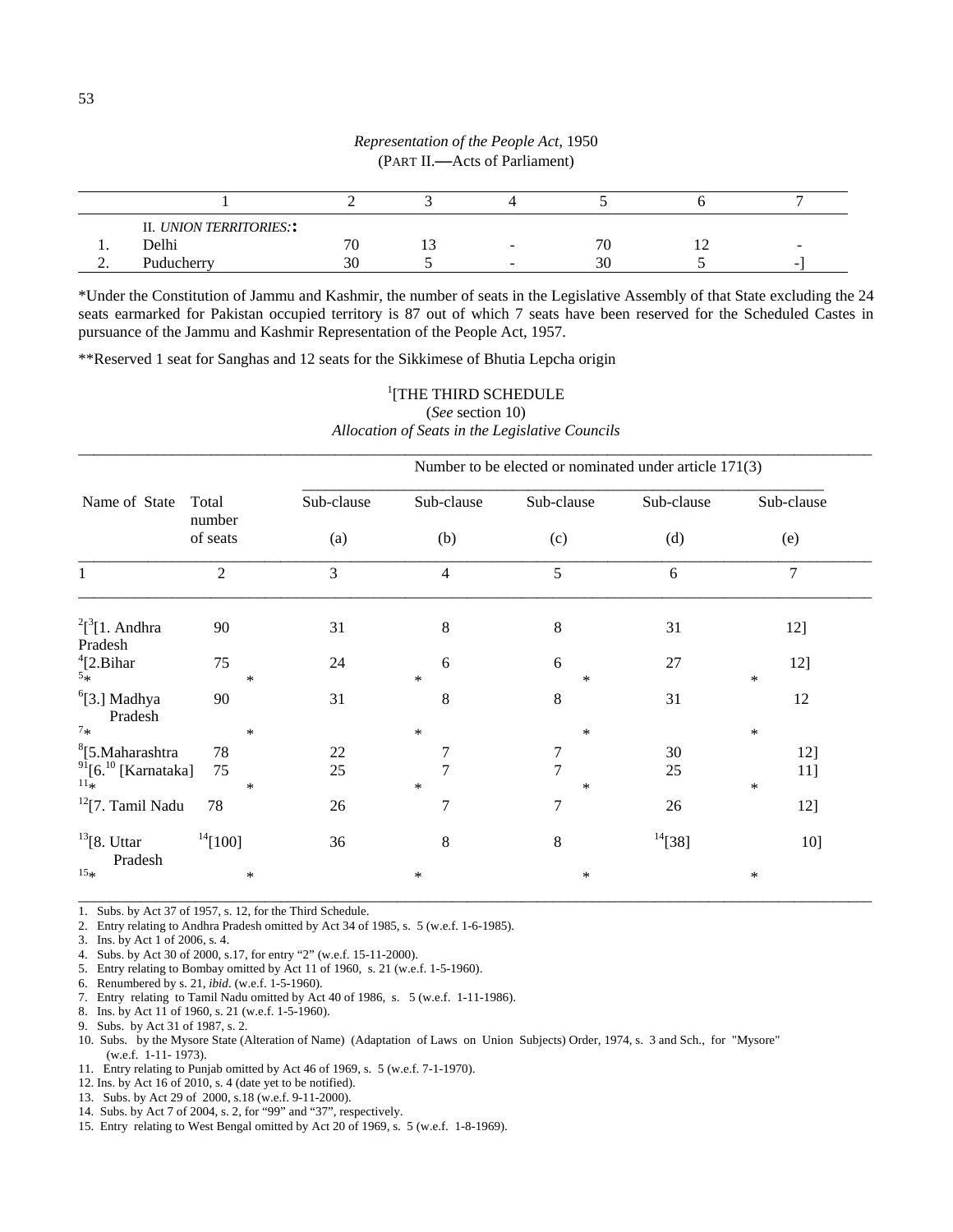|          | II. UNION TERRITORIES:: |    |                          |    |                          |
|----------|-------------------------|----|--------------------------|----|--------------------------|
| . .      | Delhi                   | 70 | $\overline{\phantom{a}}$ |    | $\overline{\phantom{a}}$ |
| <u>.</u> | Puducherry              | 3U |                          | 30 |                          |

\*Under the Constitution of Jammu and Kashmir, the number of seats in the Legislative Assembly of that State excluding the 24 seats earmarked for Pakistan occupied territory is 87 out of which 7 seats have been reserved for the Scheduled Castes in pursuance of the Jammu and Kashmir Representation of the People Act, 1957.

\*\*Reserved 1 seat for Sanghas and 12 seats for the Sikkimese of Bhutia Lepcha origin

|                                                |                 | Number to be elected or nominated under article 171(3) |                |                     |            |                |  |  |  |  |  |
|------------------------------------------------|-----------------|--------------------------------------------------------|----------------|---------------------|------------|----------------|--|--|--|--|--|
| Name of State                                  | Total<br>number | Sub-clause                                             | Sub-clause     | Sub-clause          | Sub-clause | Sub-clause     |  |  |  |  |  |
|                                                | of seats        | (a)                                                    | (b)            | (c)                 | (d)        | (e)            |  |  |  |  |  |
| $\mathbf{1}$                                   | $\overline{2}$  | 3                                                      | $\overline{4}$ | 5                   | 6          | $\overline{7}$ |  |  |  |  |  |
| $2[^3[1. \text{ Andhra}]$<br>Pradesh           | 90              | 31                                                     | 8              | 8                   | 31         | 12]            |  |  |  |  |  |
| $^{4}_{5\ast}$ [2.<br>Bihar                    | 75<br>$\ast$    | 24                                                     | 6<br>$\ast$    | 6<br>$\ast$         | 27         | 12]<br>$\ast$  |  |  |  |  |  |
| $6$ [3.] Madhya<br>Pradesh                     | 90              | 31                                                     | 8              | 8                   | 31         | 12             |  |  |  |  |  |
| $7*$                                           | $\ast$          |                                                        | $\ast$         | $\ast$              |            | $\ast$         |  |  |  |  |  |
| <sup>8</sup> [5.Maharashtra                    | 78              | 22                                                     | 7              | $\overline{7}$      | 30         | 12]            |  |  |  |  |  |
| $\frac{91}{11*}$ [6. <sup>10</sup> [Karnataka] | 75<br>∗         | 25                                                     | 7<br>$\ast$    | $\overline{7}$<br>∗ | 25         | 11]<br>$\ast$  |  |  |  |  |  |
| $12$ [7. Tamil Nadu                            | 78              | 26                                                     | 7              | 7                   | 26         | 12]            |  |  |  |  |  |
| $13$ [8. Uttar<br>Pradesh                      | $^{14}[100]$    | 36                                                     | $\,8\,$        | $8\,$               | $14$ [38]  | 10]            |  |  |  |  |  |
| $15**$                                         | $\ast$          |                                                        | $\ast$         | $\ast$              |            | $\ast$         |  |  |  |  |  |

<sup>1</sup>[THE THIRD SCHEDULE (*See* section 10) *Allocation of Seats in the Legislative Councils* 

1. Subs. by Act 37 of 1957, s. 12, for the Third Schedule.

2. Entry relating to Andhra Pradesh omitted by Act 34 of 1985, s. 5 (w.e.f. 1-6-1985).

3. Ins. by Act 1 of 2006, s. 4.

4. Subs. by Act 30 of 2000, s.17, for entry "2" (w.e.f. 15-11-2000).

5. Entry relating to Bombay omitted by Act 11 of 1960, s. 21 (w.e.f. 1-5-1960).

- 6. Renumbered by s. 21, *ibid*. (w.e.f. 1-5-1960).
- 7. Entry relating to Tamil Nadu omitted by Act 40 of 1986, s. 5 (w.e.f. 1-11-1986).

8. Ins. by Act 11 of 1960, s. 21 (w.e.f. 1-5-1960).

- 9. Subs. by Act 31 of 1987, s. 2.
- 10. Subs. by the Mysore State (Alteration of Name) (Adaptation of Laws on Union Subjects) Order, 1974, s. 3 and Sch., for "Mysore" (w.e.f. 1-11- 1973).
- 11. Entry relating to Punjab omitted by Act 46 of 1969, s. 5 (w.e.f. 7-1-1970).
- 12. Ins. by Act 16 of 2010, s. 4 (date yet to be notified).
- 13. Subs. by Act 29 of 2000, s.18 (w.e.f. 9-11-2000).
- 14. Subs. by Act 7 of 2004, s. 2, for "99" and "37", respectively.
- 15. Entry relating to West Bengal omitted by Act 20 of 1969, s. 5 (w.e.f. 1-8-1969).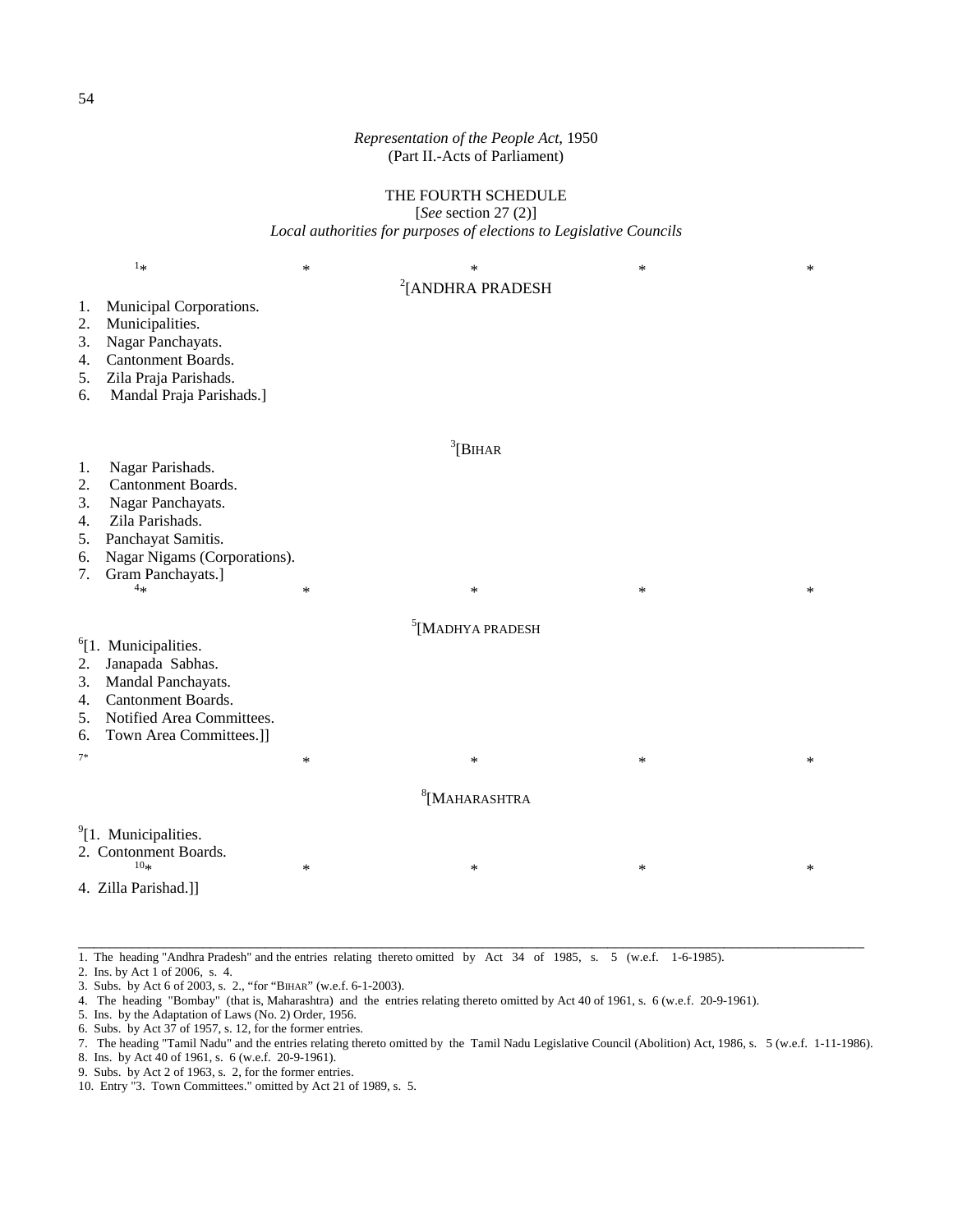# THE FOURTH SCHEDULE

[*See* section 27 (2)]

*Local authorities for purposes of elections to Legislative Councils* 

|                                        | $1*$                                                                                                                                                              | $\ast$ | $\ast$                       | $\ast$ | $\ast$ |  |  |
|----------------------------------------|-------------------------------------------------------------------------------------------------------------------------------------------------------------------|--------|------------------------------|--------|--------|--|--|
| 1.<br>2.<br>3.<br>4.<br>5.<br>6.       | Municipal Corporations.<br>Municipalities.<br>Nagar Panchayats.<br>Cantonment Boards.<br>Zila Praja Parishads.<br>Mandal Praja Parishads.]                        |        | <sup>2</sup> [ANDHRA PRADESH |        |        |  |  |
| 1.<br>2.<br>3.<br>4.<br>5.<br>6.<br>7. | Nagar Parishads.<br>Cantonment Boards.<br>Nagar Panchayats.<br>Zila Parishads.<br>Panchayat Samitis.<br>Nagar Nigams (Corporations).<br>Gram Panchayats.]<br>$4*$ | *      | $3$ [BIHAR<br>$\ast$         | $\ast$ | $\ast$ |  |  |
|                                        |                                                                                                                                                                   |        | $5$ [MADHYA PRADESH          |        |        |  |  |
| 2.<br>3.<br>4.<br>5.<br>6.<br>$7*$     | <sup>6</sup> [1. Municipalities.<br>Janapada Sabhas.<br>Mandal Panchayats.<br>Cantonment Boards.<br>Notified Area Committees.<br>Town Area Committees.]]          | $\ast$ | $\ast$                       | $\ast$ | $\ast$ |  |  |
|                                        |                                                                                                                                                                   |        |                              |        |        |  |  |
| $8$ [MAHARASHTRA                       |                                                                                                                                                                   |        |                              |        |        |  |  |
|                                        | <sup>9</sup> [1. Municipalities.<br>2. Contonment Boards.<br>10 <sub>3</sub><br>4. Zilla Parishad.]]                                                              | $\ast$ | $\ast$                       | $\ast$ | $\ast$ |  |  |

1. The heading "Andhra Pradesh" and the entries relating thereto omitted by Act 34 of 1985, s. 5 (w.e.f. 1-6-1985).

2. Ins. by Act 1 of 2006, s. 4.

3. Subs. by Act 6 of 2003, s. 2., "for "BIHAR" (w.e.f. 6-1-2003).

4. The heading "Bombay" (that is, Maharashtra) and the entries relating thereto omitted by Act 40 of 1961, s. 6 (w.e.f. 20-9-1961).

5. Ins. by the Adaptation of Laws (No. 2) Order, 1956.

6. Subs. by Act 37 of 1957, s. 12, for the former entries.

7. The heading "Tamil Nadu" and the entries relating thereto omitted by the Tamil Nadu Legislative Council (Abolition) Act, 1986, s. 5 (w.e.f. 1-11-1986).

8. Ins. by Act 40 of 1961, s. 6 (w.e.f. 20-9-1961).

9. Subs. by Act 2 of 1963, s. 2, for the former entries.

10. Entry "3. Town Committees." omitted by Act 21 of 1989, s. 5.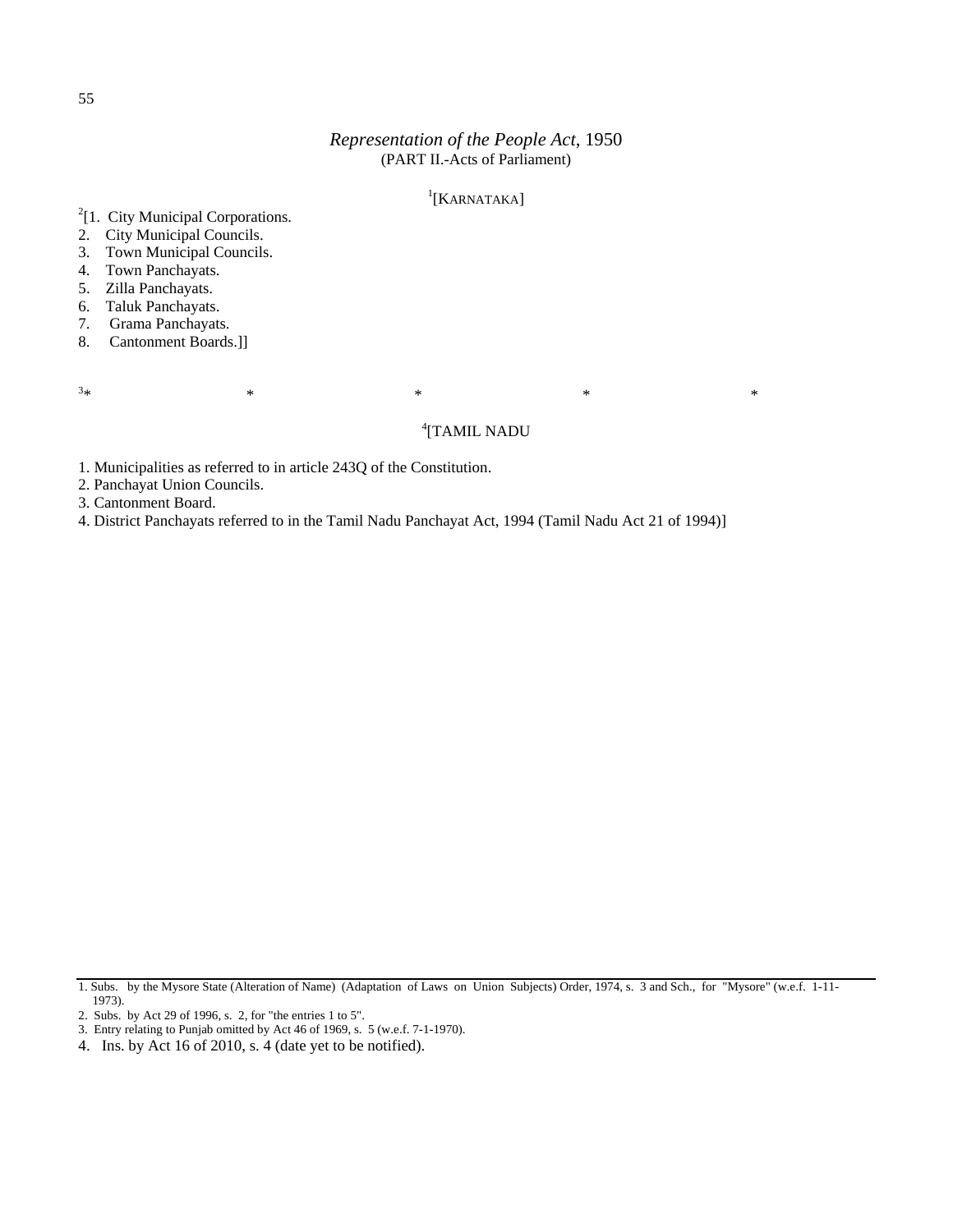# <sup>1</sup>[KARNATAKA]

<sup>2</sup>[1. City Municipal Corporations.  ${}^{1}$ [KARNATAKA]

- 2. City Municipal Councils.
- 3. Town Municipal Councils.
- 4. Town Panchayats.
- 5. Zilla Panchayats.
- 6. Taluk Panchayats.
- 7. Grama Panchayats.
- 8. Cantonment Boards.]]

 $3*$  $*$   $*$   $*$   $*$   $*$   $*$   $*$   $*$ 

# 4 [TAMIL NADU

1. Municipalities as referred to in article 243Q of the Constitution.

2. Panchayat Union Councils.

3. Cantonment Board.

4. District Panchayats referred to in the Tamil Nadu Panchayat Act, 1994 (Tamil Nadu Act 21 of 1994)]

<sup>1.</sup> Subs. by the Mysore State (Alteration of Name) (Adaptation of Laws on Union Subjects) Order, 1974, s. 3 and Sch., for "Mysore" (w.e.f. 1-11- 1973).

<sup>2.</sup> Subs. by Act 29 of 1996, s. 2, for "the entries 1 to 5".

<sup>3.</sup> Entry relating to Punjab omitted by Act 46 of 1969, s. 5 (w.e.f. 7-1-1970).

<sup>4.</sup> Ins. by Act 16 of 2010, s. 4 (date yet to be notified).